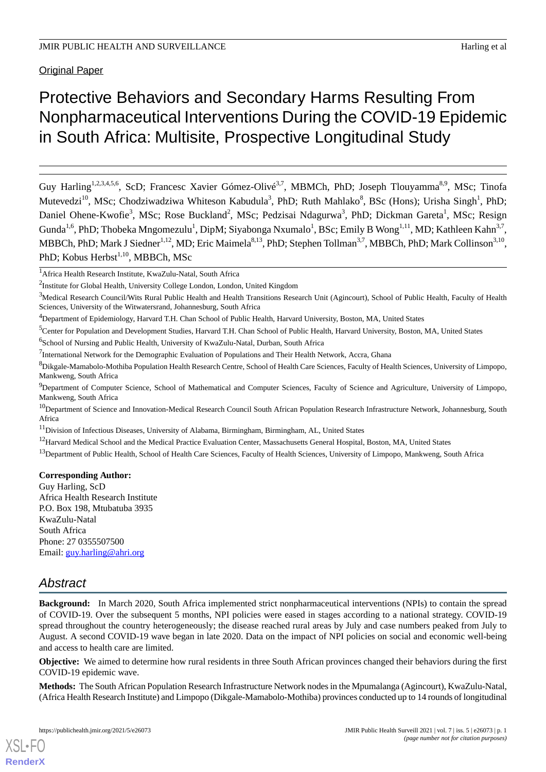# Protective Behaviors and Secondary Harms Resulting From Nonpharmaceutical Interventions During the COVID-19 Epidemic in South Africa: Multisite, Prospective Longitudinal Study

Guy Harling<sup>1,2,3,4,5,6</sup>, ScD; Francesc Xavier Gómez-Olivé<sup>3,7</sup>, MBMCh, PhD; Joseph Tlouyamma<sup>8,9</sup>, MSc; Tinofa Mutevedzi<sup>10</sup>, MSc; Chodziwadziwa Whiteson Kabudula<sup>3</sup>, PhD; Ruth Mahlako<sup>8</sup>, BSc (Hons); Urisha Singh<sup>1</sup>, PhD; Daniel Ohene-Kwofie<sup>3</sup>, MSc; Rose Buckland<sup>2</sup>, MSc; Pedzisai Ndagurwa<sup>3</sup>, PhD; Dickman Gareta<sup>1</sup>, MSc; Resign Gunda<sup>1,6</sup>, PhD; Thobeka Mngomezulu<sup>1</sup>, DipM; Siyabonga Nxumalo<sup>1</sup>, BSc; Emily B Wong<sup>1,11</sup>, MD; Kathleen Kahn<sup>3,7</sup>, MBBCh, PhD; Mark J Siedner<sup>1,12</sup>, MD; Eric Maimela<sup>8,13</sup>, PhD; Stephen Tollman<sup>3,7</sup>, MBBCh, PhD; Mark Collinson<sup>3,10</sup>, PhD; Kobus Herbst<sup>1,10</sup>, MBBCh, MSc

<sup>5</sup>Center for Population and Development Studies, Harvard T.H. Chan School of Public Health, Harvard University, Boston, MA, United States

<sup>6</sup>School of Nursing and Public Health, University of KwaZulu-Natal, Durban, South Africa

# **Corresponding Author:**

Guy Harling, ScD Africa Health Research Institute P.O. Box 198, Mtubatuba 3935 KwaZulu-Natal South Africa Phone: 27 0355507500 Email: [guy.harling@ahri.org](mailto:guy.harling@ahri.org)

# *Abstract*

[XSL](http://www.w3.org/Style/XSL)•FO **[RenderX](http://www.renderx.com/)**

**Background:** In March 2020, South Africa implemented strict nonpharmaceutical interventions (NPIs) to contain the spread of COVID-19. Over the subsequent 5 months, NPI policies were eased in stages according to a national strategy. COVID-19 spread throughout the country heterogeneously; the disease reached rural areas by July and case numbers peaked from July to August. A second COVID-19 wave began in late 2020. Data on the impact of NPI policies on social and economic well-being and access to health care are limited.

**Objective:** We aimed to determine how rural residents in three South African provinces changed their behaviors during the first COVID-19 epidemic wave.

**Methods:** The South African Population Research Infrastructure Network nodes in the Mpumalanga (Agincourt), KwaZulu-Natal, (Africa Health Research Institute) and Limpopo (Dikgale-Mamabolo-Mothiba) provinces conducted up to 14 rounds of longitudinal

<sup>1</sup>Africa Health Research Institute, KwaZulu-Natal, South Africa

<sup>&</sup>lt;sup>2</sup>Institute for Global Health, University College London, London, United Kingdom

<sup>&</sup>lt;sup>3</sup>Medical Research Council/Wits Rural Public Health and Health Transitions Research Unit (Agincourt), School of Public Health, Faculty of Health Sciences, University of the Witwatersrand, Johannesburg, South Africa

<sup>4</sup>Department of Epidemiology, Harvard T.H. Chan School of Public Health, Harvard University, Boston, MA, United States

<sup>&</sup>lt;sup>7</sup>International Network for the Demographic Evaluation of Populations and Their Health Network, Accra, Ghana

<sup>&</sup>lt;sup>8</sup>Dikgale-Mamabolo-Mothiba Population Health Research Centre, School of Health Care Sciences, Faculty of Health Sciences, University of Limpopo, Mankweng, South Africa

<sup>&</sup>lt;sup>9</sup>Department of Computer Science, School of Mathematical and Computer Sciences, Faculty of Science and Agriculture, University of Limpopo, Mankweng, South Africa

<sup>&</sup>lt;sup>10</sup>Department of Science and Innovation-Medical Research Council South African Population Research Infrastructure Network, Johannesburg, South Africa

<sup>&</sup>lt;sup>11</sup>Division of Infectious Diseases, University of Alabama, Birmingham, Birmingham, AL, United States

<sup>&</sup>lt;sup>12</sup>Harvard Medical School and the Medical Practice Evaluation Center, Massachusetts General Hospital, Boston, MA, United States

<sup>&</sup>lt;sup>13</sup>Department of Public Health, School of Health Care Sciences, Faculty of Health Sciences, University of Limpopo, Mankweng, South Africa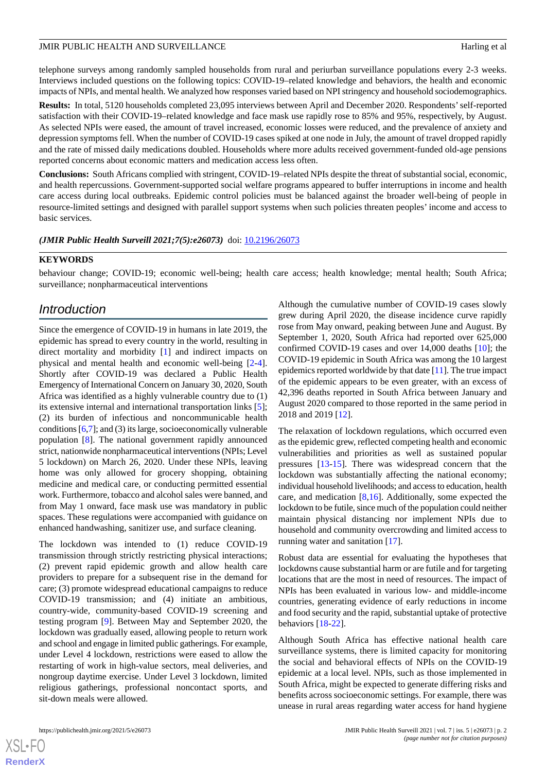telephone surveys among randomly sampled households from rural and periurban surveillance populations every 2-3 weeks. Interviews included questions on the following topics: COVID-19–related knowledge and behaviors, the health and economic impacts of NPIs, and mental health. We analyzed how responses varied based on NPI stringency and household sociodemographics.

**Results:** In total, 5120 households completed 23,095 interviews between April and December 2020. Respondents'self-reported satisfaction with their COVID-19–related knowledge and face mask use rapidly rose to 85% and 95%, respectively, by August. As selected NPIs were eased, the amount of travel increased, economic losses were reduced, and the prevalence of anxiety and depression symptoms fell. When the number of COVID-19 cases spiked at one node in July, the amount of travel dropped rapidly and the rate of missed daily medications doubled. Households where more adults received government-funded old-age pensions reported concerns about economic matters and medication access less often.

**Conclusions:** South Africans complied with stringent, COVID-19–related NPIs despite the threat of substantial social, economic, and health repercussions. Government-supported social welfare programs appeared to buffer interruptions in income and health care access during local outbreaks. Epidemic control policies must be balanced against the broader well-being of people in resource-limited settings and designed with parallel support systems when such policies threaten peoples' income and access to basic services.

*(JMIR Public Health Surveill 2021;7(5):e26073)* doi:  $10.2196/26073$ 

#### **KEYWORDS**

behaviour change; COVID-19; economic well-being; health care access; health knowledge; mental health; South Africa; surveillance; nonpharmaceutical interventions

# *Introduction*

Since the emergence of COVID-19 in humans in late 2019, the epidemic has spread to every country in the world, resulting in direct mortality and morbidity [\[1](#page-13-0)] and indirect impacts on physical and mental health and economic well-being [\[2-](#page-13-1)[4\]](#page-13-2). Shortly after COVID-19 was declared a Public Health Emergency of International Concern on January 30, 2020, South Africa was identified as a highly vulnerable country due to (1) its extensive internal and international transportation links [[5\]](#page-13-3); (2) its burden of infectious and noncommunicable health conditions [[6](#page-13-4)[,7](#page-13-5)]; and (3) its large, socioeconomically vulnerable population [[8\]](#page-13-6). The national government rapidly announced strict, nationwide nonpharmaceutical interventions (NPIs; Level 5 lockdown) on March 26, 2020. Under these NPIs, leaving home was only allowed for grocery shopping, obtaining medicine and medical care, or conducting permitted essential work. Furthermore, tobacco and alcohol sales were banned, and from May 1 onward, face mask use was mandatory in public spaces. These regulations were accompanied with guidance on enhanced handwashing, sanitizer use, and surface cleaning.

The lockdown was intended to (1) reduce COVID-19 transmission through strictly restricting physical interactions; (2) prevent rapid epidemic growth and allow health care providers to prepare for a subsequent rise in the demand for care; (3) promote widespread educational campaigns to reduce COVID-19 transmission; and (4) initiate an ambitious, country-wide, community-based COVID-19 screening and testing program [[9\]](#page-13-7). Between May and September 2020, the lockdown was gradually eased, allowing people to return work and school and engage in limited public gatherings. For example, under Level 4 lockdown, restrictions were eased to allow the restarting of work in high-value sectors, meal deliveries, and nongroup daytime exercise. Under Level 3 lockdown, limited religious gatherings, professional noncontact sports, and sit-down meals were allowed.

confirmed COVID-19 cases and over 14,000 deaths [\[10](#page-14-0)]; the COVID-19 epidemic in South Africa was among the 10 largest epidemics reported worldwide by that date [\[11\]](#page-14-1). The true impact of the epidemic appears to be even greater, with an excess of 42,396 deaths reported in South Africa between January and August 2020 compared to those reported in the same period in 2018 and 2019 [[12\]](#page-14-2). The relaxation of lockdown regulations, which occurred even as the epidemic grew, reflected competing health and economic

Although the cumulative number of COVID-19 cases slowly grew during April 2020, the disease incidence curve rapidly rose from May onward, peaking between June and August. By September 1, 2020, South Africa had reported over 625,000

vulnerabilities and priorities as well as sustained popular pressures [\[13](#page-14-3)-[15\]](#page-14-4). There was widespread concern that the lockdown was substantially affecting the national economy; individual household livelihoods; and access to education, health care, and medication [[8](#page-13-6)[,16](#page-14-5)]. Additionally, some expected the lockdown to be futile, since much of the population could neither maintain physical distancing nor implement NPIs due to household and community overcrowding and limited access to running water and sanitation [[17\]](#page-14-6).

Robust data are essential for evaluating the hypotheses that lockdowns cause substantial harm or are futile and for targeting locations that are the most in need of resources. The impact of NPIs has been evaluated in various low- and middle-income countries, generating evidence of early reductions in income and food security and the rapid, substantial uptake of protective behaviors [\[18](#page-14-7)-[22\]](#page-14-8).

Although South Africa has effective national health care surveillance systems, there is limited capacity for monitoring the social and behavioral effects of NPIs on the COVID-19 epidemic at a local level. NPIs, such as those implemented in South Africa, might be expected to generate differing risks and benefits across socioeconomic settings. For example, there was unease in rural areas regarding water access for hand hygiene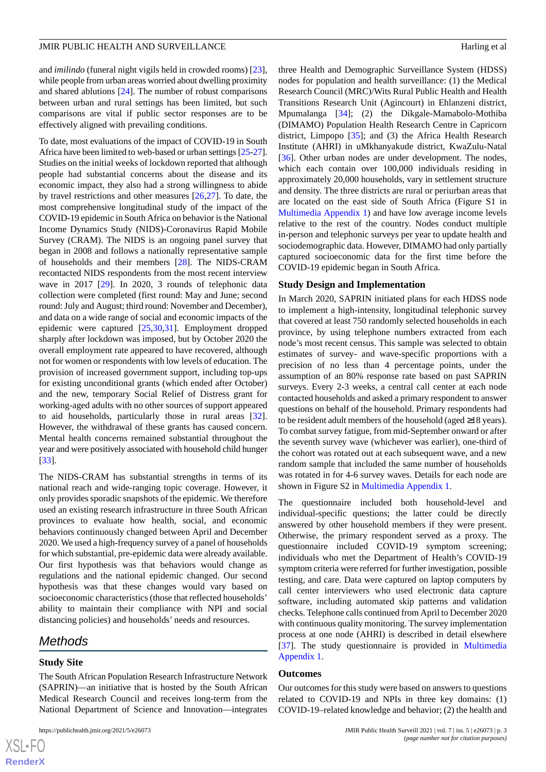and *imilindo* (funeral night vigils held in crowded rooms) [[23\]](#page-14-9), while people from urban areas worried about dwelling proximity and shared ablutions [[24\]](#page-14-10). The number of robust comparisons between urban and rural settings has been limited, but such comparisons are vital if public sector responses are to be effectively aligned with prevailing conditions.

To date, most evaluations of the impact of COVID-19 in South Africa have been limited to web-based or urban settings [\[25-](#page-14-11)[27\]](#page-14-12). Studies on the initial weeks of lockdown reported that although people had substantial concerns about the disease and its economic impact, they also had a strong willingness to abide by travel restrictions and other measures [[26,](#page-14-13)[27](#page-14-12)]. To date, the most comprehensive longitudinal study of the impact of the COVID-19 epidemic in South Africa on behavior is the National Income Dynamics Study (NIDS)-Coronavirus Rapid Mobile Survey (CRAM). The NIDS is an ongoing panel survey that began in 2008 and follows a nationally representative sample of households and their members [[28\]](#page-14-14). The NIDS-CRAM recontacted NIDS respondents from the most recent interview wave in 2017 [[29\]](#page-14-15). In 2020, 3 rounds of telephonic data collection were completed (first round: May and June; second round: July and August; third round: November and December), and data on a wide range of social and economic impacts of the epidemic were captured [\[25](#page-14-11),[30](#page-14-16)[,31](#page-15-0)]. Employment dropped sharply after lockdown was imposed, but by October 2020 the overall employment rate appeared to have recovered, although not for women or respondents with low levels of education. The provision of increased government support, including top-ups for existing unconditional grants (which ended after October) and the new, temporary Social Relief of Distress grant for working-aged adults with no other sources of support appeared to aid households, particularly those in rural areas [[32\]](#page-15-1). However, the withdrawal of these grants has caused concern. Mental health concerns remained substantial throughout the year and were positively associated with household child hunger [[33\]](#page-15-2).

The NIDS-CRAM has substantial strengths in terms of its national reach and wide-ranging topic coverage. However, it only provides sporadic snapshots of the epidemic. We therefore used an existing research infrastructure in three South African provinces to evaluate how health, social, and economic behaviors continuously changed between April and December 2020. We used a high-frequency survey of a panel of households for which substantial, pre-epidemic data were already available. Our first hypothesis was that behaviors would change as regulations and the national epidemic changed. Our second hypothesis was that these changes would vary based on socioeconomic characteristics (those that reflected households' ability to maintain their compliance with NPI and social distancing policies) and households' needs and resources.

# *Methods*

#### **Study Site**

 $XS$ -FO **[RenderX](http://www.renderx.com/)**

The South African Population Research Infrastructure Network (SAPRIN)—an initiative that is hosted by the South African Medical Research Council and receives long-term from the National Department of Science and Innovation—integrates

three Health and Demographic Surveillance System (HDSS) nodes for population and health surveillance: (1) the Medical Research Council (MRC)/Wits Rural Public Health and Health Transitions Research Unit (Agincourt) in Ehlanzeni district, Mpumalanga [\[34](#page-15-3)]; (2) the Dikgale-Mamabolo-Mothiba (DIMAMO) Population Health Research Centre in Capricorn district, Limpopo [[35\]](#page-15-4); and (3) the Africa Health Research Institute (AHRI) in uMkhanyakude district, KwaZulu-Natal [[36\]](#page-15-5). Other urban nodes are under development. The nodes, which each contain over 100,000 individuals residing in approximately 20,000 households, vary in settlement structure and density. The three districts are rural or periurban areas that are located on the east side of South Africa (Figure S1 in [Multimedia Appendix 1\)](#page-13-8) and have low average income levels relative to the rest of the country. Nodes conduct multiple in-person and telephonic surveys per year to update health and sociodemographic data. However, DIMAMO had only partially captured socioeconomic data for the first time before the COVID-19 epidemic began in South Africa.

#### **Study Design and Implementation**

In March 2020, SAPRIN initiated plans for each HDSS node to implement a high-intensity, longitudinal telephonic survey that covered at least 750 randomly selected households in each province, by using telephone numbers extracted from each node's most recent census. This sample was selected to obtain estimates of survey- and wave-specific proportions with a precision of no less than 4 percentage points, under the assumption of an 80% response rate based on past SAPRIN surveys. Every 2-3 weeks, a central call center at each node contacted households and asked a primary respondent to answer questions on behalf of the household. Primary respondents had to be resident adult members of the household (aged ≥18 years). To combat survey fatigue, from mid-September onward or after the seventh survey wave (whichever was earlier), one-third of the cohort was rotated out at each subsequent wave, and a new random sample that included the same number of households was rotated in for 4-6 survey waves. Details for each node are shown in Figure S2 in [Multimedia Appendix 1](#page-13-8).

The questionnaire included both household-level and individual-specific questions; the latter could be directly answered by other household members if they were present. Otherwise, the primary respondent served as a proxy. The questionnaire included COVID-19 symptom screening; individuals who met the Department of Health's COVID-19 symptom criteria were referred for further investigation, possible testing, and care. Data were captured on laptop computers by call center interviewers who used electronic data capture software, including automated skip patterns and validation checks. Telephone calls continued from April to December 2020 with continuous quality monitoring. The survey implementation process at one node (AHRI) is described in detail elsewhere [[37\]](#page-15-6). The study questionnaire is provided in [Multimedia](#page-13-8) [Appendix 1.](#page-13-8)

#### **Outcomes**

Our outcomes for this study were based on answers to questions related to COVID-19 and NPIs in three key domains: (1) COVID-19–related knowledge and behavior; (2) the health and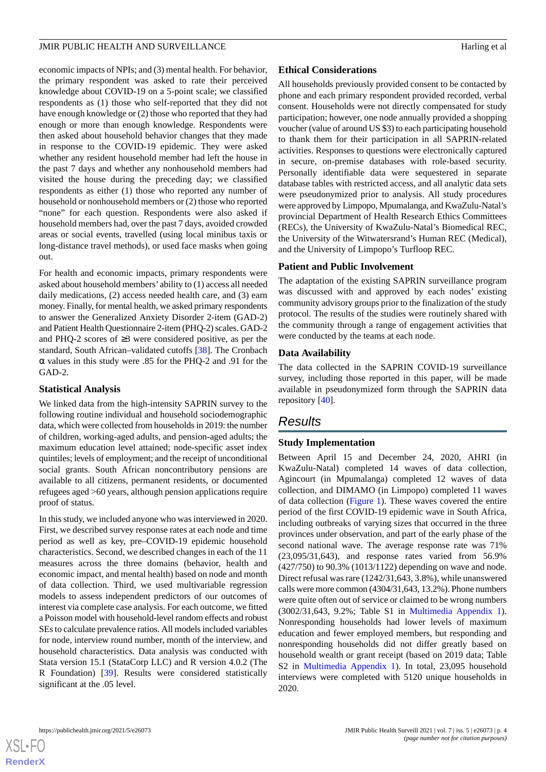economic impacts of NPIs; and (3) mental health. For behavior, the primary respondent was asked to rate their perceived knowledge about COVID-19 on a 5-point scale; we classified respondents as (1) those who self-reported that they did not have enough knowledge or (2) those who reported that they had enough or more than enough knowledge. Respondents were then asked about household behavior changes that they made in response to the COVID-19 epidemic. They were asked whether any resident household member had left the house in the past 7 days and whether any nonhousehold members had visited the house during the preceding day; we classified respondents as either (1) those who reported any number of household or nonhousehold members or (2) those who reported "none" for each question. Respondents were also asked if household members had, over the past 7 days, avoided crowded areas or social events, travelled (using local minibus taxis or long-distance travel methods), or used face masks when going out.

For health and economic impacts, primary respondents were asked about household members' ability to (1) access all needed daily medications, (2) access needed health care, and (3) earn money. Finally, for mental health, we asked primary respondents to answer the Generalized Anxiety Disorder 2-item (GAD-2) and Patient Health Questionnaire 2-item (PHQ-2) scales. GAD-2 and PHQ-2 scores of ≥3 were considered positive, as per the standard, South African–validated cutoffs [[38\]](#page-15-7). The Cronbach α values in this study were .85 for the PHQ-2 and .91 for the GAD-2.

# **Statistical Analysis**

We linked data from the high-intensity SAPRIN survey to the following routine individual and household sociodemographic data, which were collected from households in 2019: the number of children, working-aged adults, and pension-aged adults; the maximum education level attained; node-specific asset index quintiles; levels of employment; and the receipt of unconditional social grants. South African noncontributory pensions are available to all citizens, permanent residents, or documented refugees aged >60 years, although pension applications require proof of status.

In this study, we included anyone who was interviewed in 2020. First, we described survey response rates at each node and time period as well as key, pre–COVID-19 epidemic household characteristics. Second, we described changes in each of the 11 measures across the three domains (behavior, health and economic impact, and mental health) based on node and month of data collection. Third, we used multivariable regression models to assess independent predictors of our outcomes of interest via complete case analysis. For each outcome, we fitted a Poisson model with household-level random effects and robust SEs to calculate prevalence ratios. All models included variables for node, interview round number, month of the interview, and household characteristics. Data analysis was conducted with Stata version 15.1 (StataCorp LLC) and R version 4.0.2 (The R Foundation) [[39\]](#page-15-8). Results were considered statistically significant at the .05 level.

# **Ethical Considerations**

All households previously provided consent to be contacted by phone and each primary respondent provided recorded, verbal consent. Households were not directly compensated for study participation; however, one node annually provided a shopping voucher (value of around US \$3) to each participating household to thank them for their participation in all SAPRIN-related activities. Responses to questions were electronically captured in secure, on-premise databases with role-based security. Personally identifiable data were sequestered in separate database tables with restricted access, and all analytic data sets were pseudonymized prior to analysis. All study procedures were approved by Limpopo, Mpumalanga, and KwaZulu-Natal's provincial Department of Health Research Ethics Committees (RECs), the University of KwaZulu-Natal's Biomedical REC, the University of the Witwatersrand's Human REC (Medical), and the University of Limpopo's Turfloop REC.

# **Patient and Public Involvement**

The adaptation of the existing SAPRIN surveillance program was discussed with and approved by each nodes' existing community advisory groups prior to the finalization of the study protocol. The results of the studies were routinely shared with the community through a range of engagement activities that were conducted by the teams at each node.

# **Data Availability**

The data collected in the SAPRIN COVID-19 surveillance survey, including those reported in this paper, will be made available in pseudonymized form through the SAPRIN data repository [\[40](#page-15-9)].

# *Results*

# **Study Implementation**

Between April 15 and December 24, 2020, AHRI (in KwaZulu-Natal) completed 14 waves of data collection, Agincourt (in Mpumalanga) completed 12 waves of data collection, and DIMAMO (in Limpopo) completed 11 waves of data collection [\(Figure 1\)](#page-4-0). These waves covered the entire period of the first COVID-19 epidemic wave in South Africa, including outbreaks of varying sizes that occurred in the three provinces under observation, and part of the early phase of the second national wave. The average response rate was 71% (23,095/31,643), and response rates varied from 56.9% (427/750) to 90.3% (1013/1122) depending on wave and node. Direct refusal was rare (1242/31,643, 3.8%), while unanswered calls were more common (4304/31,643, 13.2%). Phone numbers were quite often out of service or claimed to be wrong numbers (3002/31,643, 9.2%; Table S1 in [Multimedia Appendix 1\)](#page-13-8). Nonresponding households had lower levels of maximum education and fewer employed members, but responding and nonresponding households did not differ greatly based on household wealth or grant receipt (based on 2019 data; Table S2 in [Multimedia Appendix 1](#page-13-8)). In total, 23,095 household interviews were completed with 5120 unique households in 2020.

**[RenderX](http://www.renderx.com/)**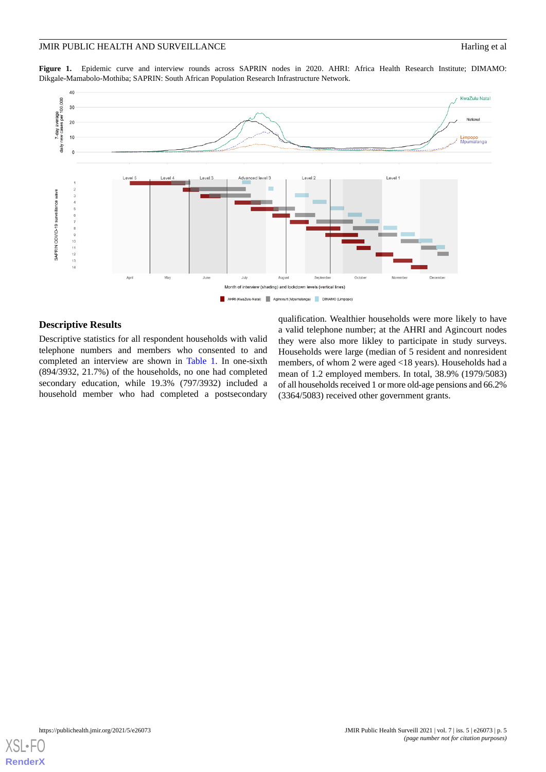#### JMIR PUBLIC HEALTH AND SURVEILLANCE Harling et al

<span id="page-4-0"></span>Figure 1. Epidemic curve and interview rounds across SAPRIN nodes in 2020. AHRI: Africa Health Research Institute; DIMAMO: Dikgale-Mamabolo-Mothiba; SAPRIN: South African Population Research Infrastructure Network.



# **Descriptive Results**

Descriptive statistics for all respondent households with valid telephone numbers and members who consented to and completed an interview are shown in [Table 1.](#page-5-0) In one-sixth (894/3932, 21.7%) of the households, no one had completed secondary education, while 19.3% (797/3932) included a household member who had completed a postsecondary

qualification. Wealthier households were more likely to have a valid telephone number; at the AHRI and Agincourt nodes they were also more likley to participate in study surveys. Households were large (median of 5 resident and nonresident members, of whom 2 were aged <18 years). Households had a mean of 1.2 employed members. In total, 38.9% (1979/5083) of all households received 1 or more old-age pensions and 66.2% (3364/5083) received other government grants.

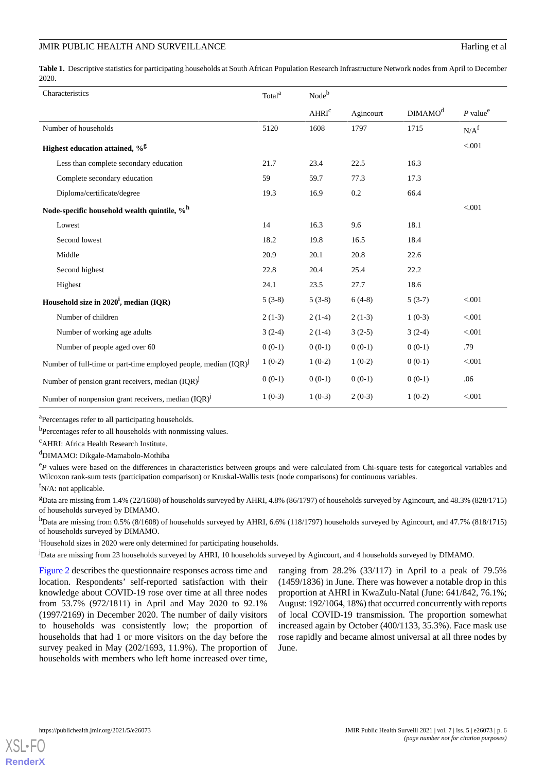<span id="page-5-0"></span>Table 1. Descriptive statistics for participating households at South African Population Research Infrastructure Network nodes from April to December 2020.

| Characteristics                                                      | Total <sup>a</sup> | Nodeb             |           |                     |                        |
|----------------------------------------------------------------------|--------------------|-------------------|-----------|---------------------|------------------------|
|                                                                      |                    | AHRI <sup>c</sup> | Agincourt | DIMAMO <sup>d</sup> | $P$ value <sup>e</sup> |
| Number of households                                                 | 5120               | 1608              | 1797      | 1715                | N/A <sup>f</sup>       |
| Highest education attained, %g                                       |                    |                   |           |                     | < 0.001                |
| Less than complete secondary education                               | 21.7               | 23.4              | 22.5      | 16.3                |                        |
| Complete secondary education                                         | 59                 | 59.7              | 77.3      | 17.3                |                        |
| Diploma/certificate/degree                                           | 19.3               | 16.9              | 0.2       | 66.4                |                        |
| Node-specific household wealth quintile, % <sup>h</sup>              |                    |                   |           |                     | < 0.001                |
| Lowest                                                               | 14                 | 16.3              | 9.6       | 18.1                |                        |
| Second lowest                                                        | 18.2               | 19.8              | 16.5      | 18.4                |                        |
| Middle                                                               | 20.9               | 20.1              | 20.8      | 22.6                |                        |
| Second highest                                                       | 22.8               | 20.4              | 25.4      | 22.2                |                        |
| Highest                                                              | 24.1               | 23.5              | 27.7      | 18.6                |                        |
| Household size in $2020^{\mathrm{i}}$ , median (IQR)                 | $5(3-8)$           | $5(3-8)$          | $6(4-8)$  | $5(3-7)$            | < 0.001                |
| Number of children                                                   | $2(1-3)$           | $2(1-4)$          | $2(1-3)$  | $1(0-3)$            | < 0.001                |
| Number of working age adults                                         | $3(2-4)$           | $2(1-4)$          | $3(2-5)$  | $3(2-4)$            | < 0.001                |
| Number of people aged over 60                                        | $0(0-1)$           | $0(0-1)$          | $0(0-1)$  | $0(0-1)$            | .79                    |
| Number of full-time or part-time employed people, median $(IQR)^{J}$ | $1(0-2)$           | $1(0-2)$          | $1(0-2)$  | $0(0-1)$            | < 0.001                |
| Number of pension grant receivers, median $(IQR)^{J}$                | $0(0-1)$           | $0(0-1)$          | $0(0-1)$  | $0(0-1)$            | .06                    |
| Number of nonpension grant receivers, median (IQR) <sup>j</sup>      | $1(0-3)$           | $1(0-3)$          | $2(0-3)$  | $1(0-2)$            | < 0.001                |

<sup>a</sup>Percentages refer to all participating households.

<sup>b</sup>Percentages refer to all households with nonmissing values.

<sup>c</sup>AHRI: Africa Health Research Institute.

<sup>d</sup>DIMAMO: Dikgale-Mamabolo-Mothiba

<sup>e</sup>P values were based on the differences in characteristics between groups and were calculated from Chi-square tests for categorical variables and Wilcoxon rank-sum tests (participation comparison) or Kruskal-Wallis tests (node comparisons) for continuous variables.

 $f_{N/A}$ : not applicable.

<sup>g</sup>Data are missing from 1.4% (22/1608) of households surveyed by AHRI, 4.8% (86/1797) of households surveyed by Agincourt, and 48.3% (828/1715) of households surveyed by DIMAMO.

h<sub>Data are missing from 0.5% (8/1608)</sub> of households surveyed by AHRI, 6.6% (118/1797) households surveyed by Agincourt, and 47.7% (818/1715) of households surveyed by DIMAMO.

<sup>1</sup>Household sizes in 2020 were only determined for participating households.

<sup>j</sup>Data are missing from 23 households surveyed by AHRI, 10 households surveyed by Agincourt, and 4 households surveyed by DIMAMO.

[Figure 2](#page-6-0) describes the questionnaire responses across time and location. Respondents' self-reported satisfaction with their knowledge about COVID-19 rose over time at all three nodes from 53.7% (972/1811) in April and May 2020 to 92.1% (1997/2169) in December 2020. The number of daily visitors to households was consistently low; the proportion of households that had 1 or more visitors on the day before the survey peaked in May (202/1693, 11.9%). The proportion of households with members who left home increased over time,

ranging from  $28.2\%$  (33/117) in April to a peak of 79.5% (1459/1836) in June. There was however a notable drop in this proportion at AHRI in KwaZulu-Natal (June: 641/842, 76.1%; August: 192/1064, 18%) that occurred concurrently with reports of local COVID-19 transmission. The proportion somewhat increased again by October (400/1133, 35.3%). Face mask use rose rapidly and became almost universal at all three nodes by June.

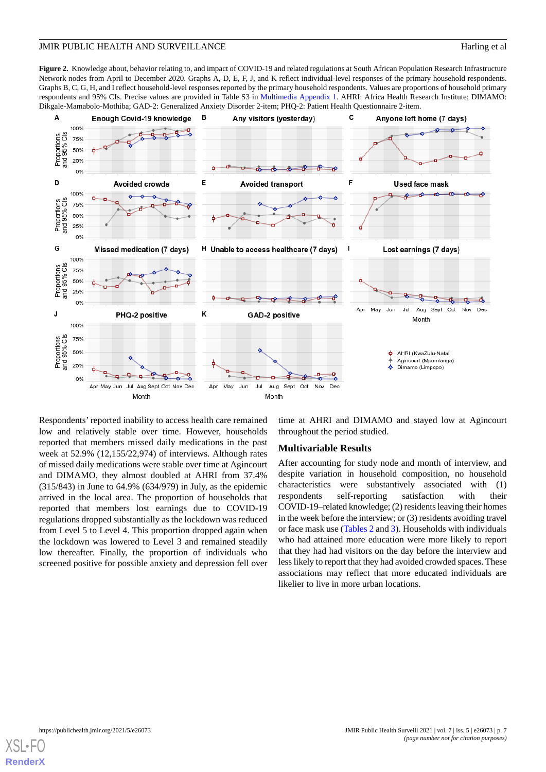<span id="page-6-0"></span>**Figure 2.** Knowledge about, behavior relating to, and impact of COVID-19 and related regulations at South African Population Research Infrastructure Network nodes from April to December 2020. Graphs A, D, E, F, J, and K reflect individual-level responses of the primary household respondents. Graphs B, C, G, H, and I reflect household-level responses reported by the primary household respondents. Values are proportions of household primary respondents and 95% CIs. Precise values are provided in Table S3 in [Multimedia Appendix 1](#page-13-8). AHRI: Africa Health Research Institute; DIMAMO: Dikgale-Mamabolo-Mothiba; GAD-2: Generalized Anxiety Disorder 2-item; PHQ-2: Patient Health Questionnaire 2-item.



Respondents' reported inability to access health care remained low and relatively stable over time. However, households reported that members missed daily medications in the past week at 52.9% (12,155/22,974) of interviews. Although rates of missed daily medications were stable over time at Agincourt and DIMAMO, they almost doubled at AHRI from 37.4% (315/843) in June to 64.9% (634/979) in July, as the epidemic arrived in the local area. The proportion of households that reported that members lost earnings due to COVID-19 regulations dropped substantially as the lockdown was reduced from Level 5 to Level 4. This proportion dropped again when the lockdown was lowered to Level 3 and remained steadily low thereafter. Finally, the proportion of individuals who screened positive for possible anxiety and depression fell over

time at AHRI and DIMAMO and stayed low at Agincourt throughout the period studied.

#### **Multivariable Results**

After accounting for study node and month of interview, and despite variation in household composition, no household characteristics were substantively associated with (1) respondents self-reporting satisfaction with their COVID-19–related knowledge; (2) residents leaving their homes in the week before the interview; or (3) residents avoiding travel or face mask use ([Tables 2](#page-7-0) and [3](#page-8-0)). Households with individuals who had attained more education were more likely to report that they had had visitors on the day before the interview and less likely to report that they had avoided crowded spaces. These associations may reflect that more educated individuals are likelier to live in more urban locations.

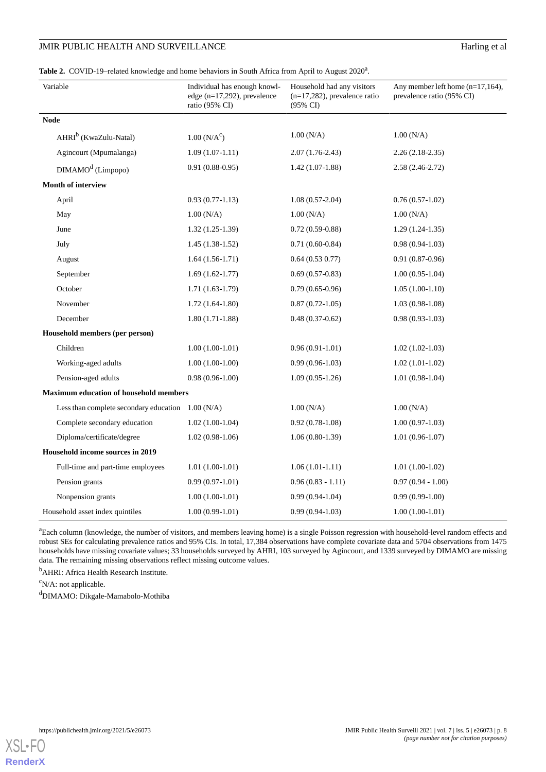# JMIR PUBLIC HEALTH AND SURVEILLANCE

| Harling et al |  |  |
|---------------|--|--|
|               |  |  |

<span id="page-7-0"></span>

|  |  | Table 2. COVID-19-related knowledge and home behaviors in South Africa from April to August 2020 <sup>a</sup> . |  |
|--|--|-----------------------------------------------------------------------------------------------------------------|--|
|--|--|-----------------------------------------------------------------------------------------------------------------|--|

| Variable                                      | Individual has enough knowl-<br>edge $(n=17,292)$ , prevalence<br>ratio (95% CI) | Household had any visitors<br>$(n=17,282)$ , prevalence ratio<br>(95% CI) | Any member left home (n=17,164),<br>prevalence ratio (95% CI) |
|-----------------------------------------------|----------------------------------------------------------------------------------|---------------------------------------------------------------------------|---------------------------------------------------------------|
| <b>Node</b>                                   |                                                                                  |                                                                           |                                                               |
| AHRI <sup>b</sup> (KwaZulu-Natal)             | $1.00(N/A^c)$                                                                    | 1.00(N/A)                                                                 | 1.00(N/A)                                                     |
| Agincourt (Mpumalanga)                        | $1.09(1.07-1.11)$                                                                | $2.07(1.76-2.43)$                                                         | $2.26(2.18-2.35)$                                             |
| DIMAMO <sup>d</sup> (Limpopo)                 | $0.91(0.88-0.95)$                                                                | $1.42(1.07-1.88)$                                                         | $2.58(2.46-2.72)$                                             |
| Month of interview                            |                                                                                  |                                                                           |                                                               |
| April                                         | $0.93(0.77-1.13)$                                                                | $1.08(0.57-2.04)$                                                         | $0.76(0.57-1.02)$                                             |
| May                                           | 1.00 (N/A)                                                                       | 1.00(N/A)                                                                 | 1.00(N/A)                                                     |
| June                                          | $1.32(1.25-1.39)$                                                                | $0.72(0.59-0.88)$                                                         | $1.29(1.24-1.35)$                                             |
| July                                          | $1.45(1.38-1.52)$                                                                | $0.71(0.60-0.84)$                                                         | $0.98(0.94-1.03)$                                             |
| August                                        | $1.64(1.56-1.71)$                                                                | 0.64(0.530.77)                                                            | $0.91(0.87-0.96)$                                             |
| September                                     | $1.69(1.62-1.77)$                                                                | $0.69(0.57-0.83)$                                                         | $1.00(0.95-1.04)$                                             |
| October                                       | $1.71(1.63-1.79)$                                                                | $0.79(0.65-0.96)$                                                         | $1.05(1.00-1.10)$                                             |
| November                                      | $1.72(1.64-1.80)$                                                                | $0.87(0.72-1.05)$                                                         | $1.03(0.98-1.08)$                                             |
| December                                      | $1.80(1.71-1.88)$                                                                | $0.48(0.37-0.62)$                                                         | $0.98(0.93-1.03)$                                             |
| Household members (per person)                |                                                                                  |                                                                           |                                                               |
| Children                                      | $1.00(1.00-1.01)$                                                                | $0.96(0.91-1.01)$                                                         | $1.02(1.02-1.03)$                                             |
| Working-aged adults                           | $1.00(1.00-1.00)$                                                                | $0.99(0.96-1.03)$                                                         | $1.02(1.01-1.02)$                                             |
| Pension-aged adults                           | $0.98(0.96-1.00)$                                                                | $1.09(0.95-1.26)$                                                         | $1.01(0.98-1.04)$                                             |
| <b>Maximum education of household members</b> |                                                                                  |                                                                           |                                                               |
| Less than complete secondary education        | 1.00(N/A)                                                                        | 1.00(N/A)                                                                 | 1.00(N/A)                                                     |
| Complete secondary education                  | $1.02(1.00-1.04)$                                                                | $0.92(0.78-1.08)$                                                         | $1.00(0.97-1.03)$                                             |
| Diploma/certificate/degree                    | $1.02(0.98-1.06)$                                                                | $1.06(0.80-1.39)$                                                         | $1.01(0.96-1.07)$                                             |
| Household income sources in 2019              |                                                                                  |                                                                           |                                                               |
| Full-time and part-time employees             | $1.01(1.00-1.01)$                                                                | $1.06(1.01-1.11)$                                                         | $1.01(1.00-1.02)$                                             |
| Pension grants                                | $0.99(0.97-1.01)$                                                                | $0.96(0.83 - 1.11)$                                                       | $0.97(0.94 - 1.00)$                                           |
| Nonpension grants                             | $1.00(1.00-1.01)$                                                                | $0.99(0.94-1.04)$                                                         | $0.99(0.99-1.00)$                                             |
| Household asset index quintiles               | $1.00(0.99-1.01)$                                                                | $0.99(0.94-1.03)$                                                         | $1.00(1.00-1.01)$                                             |

<sup>a</sup>Each column (knowledge, the number of visitors, and members leaving home) is a single Poisson regression with household-level random effects and robust SEs for calculating prevalence ratios and 95% CIs. In total, 17,384 observations have complete covariate data and 5704 observations from 1475 households have missing covariate values; 33 households surveyed by AHRI, 103 surveyed by Agincourt, and 1339 surveyed by DIMAMO are missing data. The remaining missing observations reflect missing outcome values.

<sup>b</sup>AHRI: Africa Health Research Institute.

 $\rm^c$ N/A: not applicable.

<sup>d</sup>DIMAMO: Dikgale-Mamabolo-Mothiba

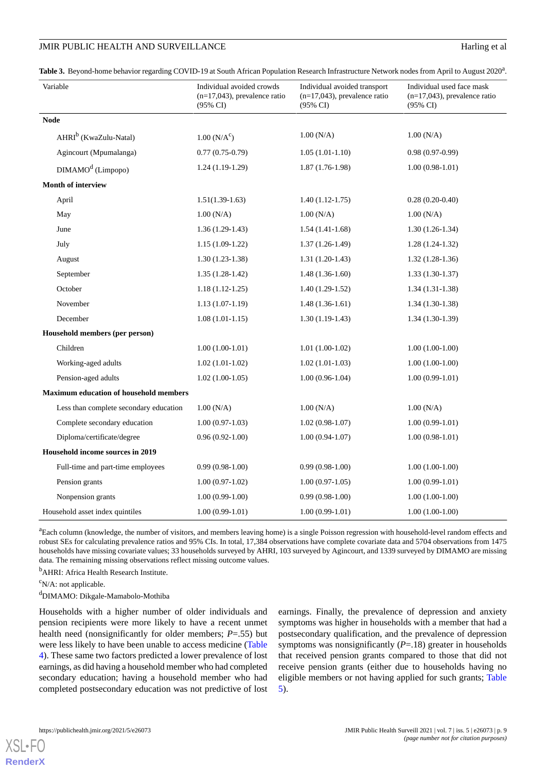#### JMIR PUBLIC HEALTH AND SURVEILLANCE **Harling** et al.

<span id="page-8-0"></span>

|  | Table 3. Beyond-home behavior regarding COVID-19 at South African Population Research Infrastructure Network nodes from April to August 2020 <sup>a</sup> . |  |
|--|-------------------------------------------------------------------------------------------------------------------------------------------------------------|--|
|  |                                                                                                                                                             |  |

| Variable                                      | Individual avoided crowds<br>$(n=17,043)$ , prevalence ratio<br>$(95\% \text{ CI})$ | Individual avoided transport<br>$(n=17,043)$ , prevalence ratio<br>$(95\% \text{ CI})$ | Individual used face mask<br>$(n=17,043)$ , prevalence ratio<br>$(95\% \text{ CI})$ |
|-----------------------------------------------|-------------------------------------------------------------------------------------|----------------------------------------------------------------------------------------|-------------------------------------------------------------------------------------|
| <b>Node</b>                                   |                                                                                     |                                                                                        |                                                                                     |
| AHRI <sup>b</sup> (KwaZulu-Natal)             | 1.00 (N/A <sup>c</sup> )                                                            | 1.00 (N/A)                                                                             | 1.00(N/A)                                                                           |
| Agincourt (Mpumalanga)                        | $0.77(0.75-0.79)$                                                                   | $1.05(1.01-1.10)$                                                                      | $0.98(0.97-0.99)$                                                                   |
| DIMAMO <sup>d</sup> (Limpopo)                 | $1.24(1.19-1.29)$                                                                   | $1.87(1.76-1.98)$                                                                      | $1.00(0.98-1.01)$                                                                   |
| Month of interview                            |                                                                                     |                                                                                        |                                                                                     |
| April                                         | $1.51(1.39-1.63)$                                                                   | $1.40(1.12-1.75)$                                                                      | $0.28(0.20-0.40)$                                                                   |
| May                                           | 1.00(N/A)                                                                           | 1.00(N/A)                                                                              | 1.00(N/A)                                                                           |
| June                                          | $1.36(1.29-1.43)$                                                                   | $1.54(1.41-1.68)$                                                                      | $1.30(1.26-1.34)$                                                                   |
| July                                          | $1.15(1.09-1.22)$                                                                   | $1.37(1.26-1.49)$                                                                      | $1.28(1.24-1.32)$                                                                   |
| August                                        | $1.30(1.23-1.38)$                                                                   | $1.31(1.20-1.43)$                                                                      | $1.32(1.28-1.36)$                                                                   |
| September                                     | $1.35(1.28-1.42)$                                                                   | $1.48(1.36-1.60)$                                                                      | $1.33(1.30-1.37)$                                                                   |
| October                                       | $1.18(1.12-1.25)$                                                                   | $1.40(1.29-1.52)$                                                                      | $1.34(1.31-1.38)$                                                                   |
| November                                      | $1.13(1.07-1.19)$                                                                   | $1.48(1.36-1.61)$                                                                      | $1.34(1.30-1.38)$                                                                   |
| December                                      | $1.08(1.01-1.15)$                                                                   | $1.30(1.19-1.43)$                                                                      | $1.34(1.30-1.39)$                                                                   |
| Household members (per person)                |                                                                                     |                                                                                        |                                                                                     |
| Children                                      | $1.00(1.00-1.01)$                                                                   | $1.01(1.00-1.02)$                                                                      | $1.00(1.00-1.00)$                                                                   |
| Working-aged adults                           | $1.02(1.01-1.02)$                                                                   | $1.02(1.01-1.03)$                                                                      | $1.00(1.00-1.00)$                                                                   |
| Pension-aged adults                           | $1.02(1.00-1.05)$                                                                   | $1.00(0.96-1.04)$                                                                      | $1.00(0.99-1.01)$                                                                   |
| <b>Maximum education of household members</b> |                                                                                     |                                                                                        |                                                                                     |
| Less than complete secondary education        | 1.00(N/A)                                                                           | 1.00(N/A)                                                                              | 1.00(N/A)                                                                           |
| Complete secondary education                  | $1.00(0.97-1.03)$                                                                   | $1.02(0.98-1.07)$                                                                      | $1.00(0.99-1.01)$                                                                   |
| Diploma/certificate/degree                    | $0.96(0.92-1.00)$                                                                   | $1.00(0.94-1.07)$                                                                      | $1.00(0.98-1.01)$                                                                   |
| Household income sources in 2019              |                                                                                     |                                                                                        |                                                                                     |
| Full-time and part-time employees             | $0.99(0.98-1.00)$                                                                   | $0.99(0.98-1.00)$                                                                      | $1.00(1.00-1.00)$                                                                   |
| Pension grants                                | $1.00(0.97-1.02)$                                                                   | $1.00(0.97-1.05)$                                                                      | $1.00(0.99-1.01)$                                                                   |
| Nonpension grants                             | $1.00(0.99-1.00)$                                                                   | $0.99(0.98-1.00)$                                                                      | $1.00(1.00-1.00)$                                                                   |
| Household asset index quintiles               | $1.00(0.99-1.01)$                                                                   | $1.00(0.99-1.01)$                                                                      | $1.00(1.00-1.00)$                                                                   |

<sup>a</sup>Each column (knowledge, the number of visitors, and members leaving home) is a single Poisson regression with household-level random effects and robust SEs for calculating prevalence ratios and 95% CIs. In total, 17,384 observations have complete covariate data and 5704 observations from 1475 households have missing covariate values; 33 households surveyed by AHRI, 103 surveyed by Agincourt, and 1339 surveyed by DIMAMO are missing data. The remaining missing observations reflect missing outcome values.

<sup>b</sup>AHRI: Africa Health Research Institute.

 $\rm^c$ N/A: not applicable.

<sup>d</sup>DIMAMO: Dikgale-Mamabolo-Mothiba

Households with a higher number of older individuals and pension recipients were more likely to have a recent unmet health need (nonsignificantly for older members; *P*=.55) but were less likely to have been unable to access medicine ([Table](#page-9-0) [4\)](#page-9-0). These same two factors predicted a lower prevalence of lost earnings, as did having a household member who had completed secondary education; having a household member who had completed postsecondary education was not predictive of lost

earnings. Finally, the prevalence of depression and anxiety symptoms was higher in households with a member that had a postsecondary qualification, and the prevalence of depression symptoms was nonsignificantly (*P*=.18) greater in households that received pension grants compared to those that did not receive pension grants (either due to households having no eligible members or not having applied for such grants; [Table](#page-10-0) [5\)](#page-10-0).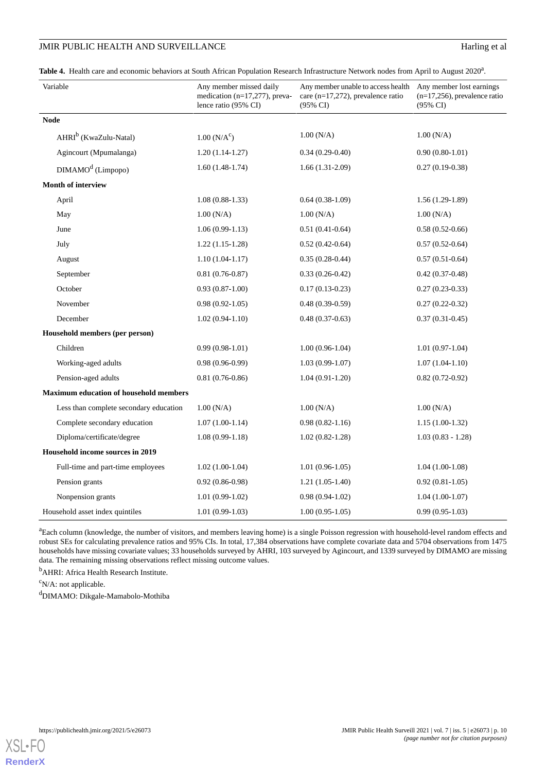# JMIR PUBLIC HEALTH AND SURVEILLANCE Harling et al

<span id="page-9-0"></span>Table 4. Health care and economic behaviors at South African Population Research Infrastructure Network nodes from April to August 2020<sup>a</sup>.

| Variable                                      | Any member missed daily<br>medication $(n=17,277)$ , preva-<br>lence ratio (95% CI) | Any member unable to access health Any member lost earnings<br>care (n=17,272), prevalence ratio<br>$(95\% \text{ CI})$ | $(n=17,256)$ , prevalence ratio<br>$(95\% \text{ CI})$ |
|-----------------------------------------------|-------------------------------------------------------------------------------------|-------------------------------------------------------------------------------------------------------------------------|--------------------------------------------------------|
| <b>Node</b>                                   |                                                                                     |                                                                                                                         |                                                        |
| AHRI <sup>b</sup> (KwaZulu-Natal)             | $1.00 (N/A^c)$                                                                      | 1.00(N/A)                                                                                                               | 1.00(N/A)                                              |
| Agincourt (Mpumalanga)                        | $1.20(1.14-1.27)$                                                                   | $0.34(0.29-0.40)$                                                                                                       | $0.90(0.80-1.01)$                                      |
| DIMAMO <sup>d</sup> (Limpopo)                 | $1.60(1.48-1.74)$                                                                   | $1.66(1.31-2.09)$                                                                                                       | $0.27(0.19-0.38)$                                      |
| Month of interview                            |                                                                                     |                                                                                                                         |                                                        |
| April                                         | $1.08(0.88-1.33)$                                                                   | $0.64(0.38-1.09)$                                                                                                       | $1.56(1.29-1.89)$                                      |
| May                                           | 1.00(N/A)                                                                           | 1.00(N/A)                                                                                                               | 1.00(N/A)                                              |
| June                                          | $1.06(0.99-1.13)$                                                                   | $0.51(0.41-0.64)$                                                                                                       | $0.58(0.52-0.66)$                                      |
| July                                          | $1.22(1.15-1.28)$                                                                   | $0.52(0.42-0.64)$                                                                                                       | $0.57(0.52-0.64)$                                      |
| August                                        | $1.10(1.04-1.17)$                                                                   | $0.35(0.28-0.44)$                                                                                                       | $0.57(0.51-0.64)$                                      |
| September                                     | $0.81(0.76-0.87)$                                                                   | $0.33(0.26-0.42)$                                                                                                       | $0.42(0.37-0.48)$                                      |
| October                                       | $0.93(0.87-1.00)$                                                                   | $0.17(0.13-0.23)$                                                                                                       | $0.27(0.23-0.33)$                                      |
| November                                      | $0.98(0.92-1.05)$                                                                   | $0.48(0.39-0.59)$                                                                                                       | $0.27(0.22-0.32)$                                      |
| December                                      | $1.02(0.94-1.10)$                                                                   | $0.48(0.37-0.63)$                                                                                                       | $0.37(0.31 - 0.45)$                                    |
| Household members (per person)                |                                                                                     |                                                                                                                         |                                                        |
| Children                                      | $0.99(0.98-1.01)$                                                                   | $1.00(0.96-1.04)$                                                                                                       | $1.01(0.97-1.04)$                                      |
| Working-aged adults                           | $0.98(0.96-0.99)$                                                                   | $1.03(0.99-1.07)$                                                                                                       | $1.07(1.04-1.10)$                                      |
| Pension-aged adults                           | $0.81(0.76-0.86)$                                                                   | $1.04(0.91-1.20)$                                                                                                       | $0.82(0.72-0.92)$                                      |
| <b>Maximum education of household members</b> |                                                                                     |                                                                                                                         |                                                        |
| Less than complete secondary education        | 1.00(N/A)                                                                           | 1.00(N/A)                                                                                                               | 1.00 (N/A)                                             |
| Complete secondary education                  | $1.07(1.00-1.14)$                                                                   | $0.98(0.82 - 1.16)$                                                                                                     | $1.15(1.00-1.32)$                                      |
| Diploma/certificate/degree                    | $1.08(0.99-1.18)$                                                                   | $1.02(0.82 - 1.28)$                                                                                                     | $1.03(0.83 - 1.28)$                                    |
| Household income sources in 2019              |                                                                                     |                                                                                                                         |                                                        |
| Full-time and part-time employees             | $1.02(1.00-1.04)$                                                                   | $1.01(0.96-1.05)$                                                                                                       | $1.04(1.00-1.08)$                                      |
| Pension grants                                | $0.92(0.86-0.98)$                                                                   | $1.21(1.05-1.40)$                                                                                                       | $0.92(0.81-1.05)$                                      |
| Nonpension grants                             | $1.01(0.99-1.02)$                                                                   | $0.98(0.94-1.02)$                                                                                                       | $1.04(1.00-1.07)$                                      |
| Household asset index quintiles               | $1.01(0.99-1.03)$                                                                   | $1.00(0.95-1.05)$                                                                                                       | $0.99(0.95-1.03)$                                      |

<sup>a</sup>Each column (knowledge, the number of visitors, and members leaving home) is a single Poisson regression with household-level random effects and robust SEs for calculating prevalence ratios and 95% CIs. In total, 17,384 observations have complete covariate data and 5704 observations from 1475 households have missing covariate values; 33 households surveyed by AHRI, 103 surveyed by Agincourt, and 1339 surveyed by DIMAMO are missing data. The remaining missing observations reflect missing outcome values.

<sup>b</sup>AHRI: Africa Health Research Institute.

 $\rm^c$ N/A: not applicable.

<sup>d</sup>DIMAMO: Dikgale-Mamabolo-Mothiba

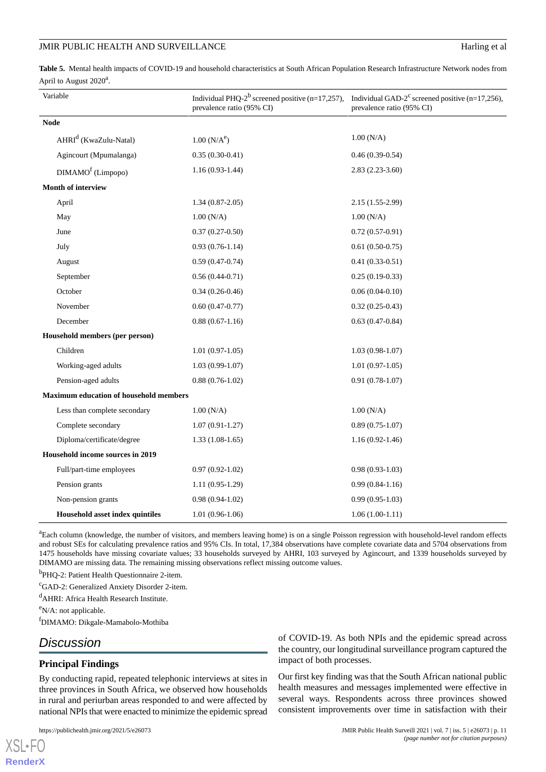#### JMIR PUBLIC HEALTH AND SURVEILLANCE Harling et al

<span id="page-10-0"></span>**Table 5.** Mental health impacts of COVID-19 and household characteristics at South African Population Research Infrastructure Network nodes from April to August  $2020^a$ .

|             | Variable                                      | Individual PHQ-2 <sup>b</sup> screened positive (n=17,257),<br>prevalence ratio (95% CI) | Individual GAD- $2^c$ screened positive (n=17,256),<br>prevalence ratio (95% CI) |
|-------------|-----------------------------------------------|------------------------------------------------------------------------------------------|----------------------------------------------------------------------------------|
| <b>Node</b> |                                               |                                                                                          |                                                                                  |
|             | AHRI <sup>d</sup> (KwaZulu-Natal)             | $1.00(N/A^e)$                                                                            | 1.00 (N/A)                                                                       |
|             | Agincourt (Mpumalanga)                        | $0.35(0.30-0.41)$                                                                        | $0.46(0.39-0.54)$                                                                |
|             | $DIMAMOf$ (Limpopo)                           | $1.16(0.93-1.44)$                                                                        | $2.83(2.23-3.60)$                                                                |
|             | <b>Month of interview</b>                     |                                                                                          |                                                                                  |
|             | April                                         | $1.34(0.87-2.05)$                                                                        | 2.15 (1.55-2.99)                                                                 |
|             | May                                           | 1.00(N/A)                                                                                | 1.00 (N/A)                                                                       |
|             | June                                          | $0.37(0.27-0.50)$                                                                        | $0.72(0.57-0.91)$                                                                |
|             | July                                          | $0.93(0.76-1.14)$                                                                        | $0.61(0.50-0.75)$                                                                |
|             | August                                        | $0.59(0.47-0.74)$                                                                        | $0.41(0.33-0.51)$                                                                |
|             | September                                     | $0.56(0.44-0.71)$                                                                        | $0.25(0.19-0.33)$                                                                |
|             | October                                       | $0.34(0.26-0.46)$                                                                        | $0.06(0.04-0.10)$                                                                |
|             | November                                      | $0.60(0.47-0.77)$                                                                        | $0.32(0.25-0.43)$                                                                |
|             | December                                      | $0.88(0.67-1.16)$                                                                        | $0.63(0.47-0.84)$                                                                |
|             | Household members (per person)                |                                                                                          |                                                                                  |
|             | Children                                      | $1.01(0.97-1.05)$                                                                        | $1.03(0.98-1.07)$                                                                |
|             | Working-aged adults                           | $1.03(0.99-1.07)$                                                                        | $1.01(0.97-1.05)$                                                                |
|             | Pension-aged adults                           | $0.88(0.76-1.02)$                                                                        | $0.91(0.78-1.07)$                                                                |
|             | <b>Maximum education of household members</b> |                                                                                          |                                                                                  |
|             | Less than complete secondary                  | 1.00(N/A)                                                                                | 1.00 (N/A)                                                                       |
|             | Complete secondary                            | $1.07(0.91-1.27)$                                                                        | $0.89(0.75-1.07)$                                                                |
|             | Diploma/certificate/degree                    | $1.33(1.08-1.65)$                                                                        | $1.16(0.92 - 1.46)$                                                              |
|             | Household income sources in 2019              |                                                                                          |                                                                                  |
|             | Full/part-time employees                      | $0.97(0.92 - 1.02)$                                                                      | $0.98(0.93-1.03)$                                                                |
|             | Pension grants                                | $1.11(0.95-1.29)$                                                                        | $0.99(0.84-1.16)$                                                                |
|             | Non-pension grants                            | $0.98(0.94-1.02)$                                                                        | $0.99(0.95-1.03)$                                                                |
|             | Household asset index quintiles               | $1.01(0.96-1.06)$                                                                        | $1.06(1.00-1.11)$                                                                |

<sup>a</sup>Each column (knowledge, the number of visitors, and members leaving home) is on a single Poisson regression with household-level random effects and robust SEs for calculating prevalence ratios and 95% CIs. In total, 17,384 observations have complete covariate data and 5704 observations from 1475 households have missing covariate values; 33 households surveyed by AHRI, 103 surveyed by Agincourt, and 1339 households surveyed by DIMAMO are missing data. The remaining missing observations reflect missing outcome values.

<sup>b</sup>PHQ-2: Patient Health Questionnaire 2-item.

<sup>c</sup>GAD-2: Generalized Anxiety Disorder 2-item.

<sup>d</sup>AHRI: Africa Health Research Institute.

 $\mathrm{e}_{N/A}$ : not applicable.

<sup>f</sup>DIMAMO: Dikgale-Mamabolo-Mothiba

# *Discussion*

[XSL](http://www.w3.org/Style/XSL)•FO **[RenderX](http://www.renderx.com/)**

# **Principal Findings**

By conducting rapid, repeated telephonic interviews at sites in three provinces in South Africa, we observed how households in rural and periurban areas responded to and were affected by national NPIs that were enacted to minimize the epidemic spread

of COVID-19. As both NPIs and the epidemic spread across the country, our longitudinal surveillance program captured the impact of both processes.

Our first key finding was that the South African national public health measures and messages implemented were effective in several ways. Respondents across three provinces showed consistent improvements over time in satisfaction with their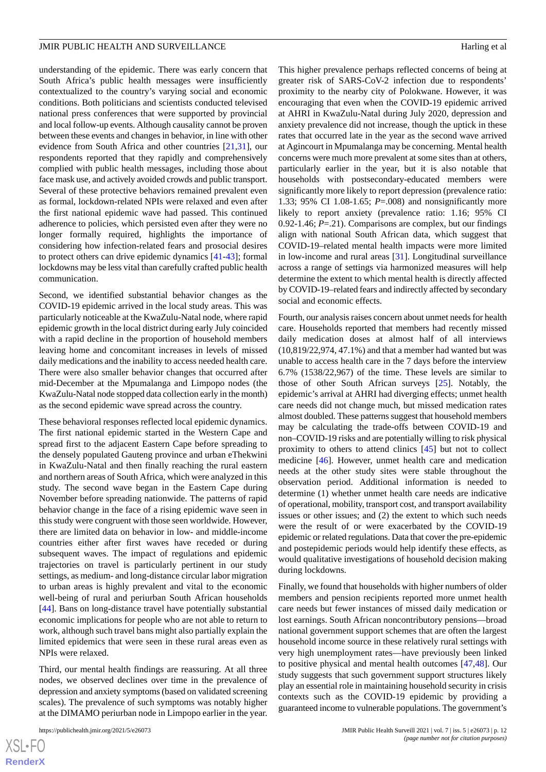understanding of the epidemic. There was early concern that South Africa's public health messages were insufficiently contextualized to the country's varying social and economic conditions. Both politicians and scientists conducted televised national press conferences that were supported by provincial and local follow-up events. Although causality cannot be proven between these events and changes in behavior, in line with other evidence from South Africa and other countries [\[21](#page-14-17),[31\]](#page-15-0), our respondents reported that they rapidly and comprehensively complied with public health messages, including those about face mask use, and actively avoided crowds and public transport. Several of these protective behaviors remained prevalent even as formal, lockdown-related NPIs were relaxed and even after the first national epidemic wave had passed. This continued adherence to policies, which persisted even after they were no longer formally required, highlights the importance of considering how infection-related fears and prosocial desires to protect others can drive epidemic dynamics [[41](#page-15-10)[-43](#page-15-11)]; formal lockdowns may be less vital than carefully crafted public health communication.

Second, we identified substantial behavior changes as the COVID-19 epidemic arrived in the local study areas. This was particularly noticeable at the KwaZulu-Natal node, where rapid epidemic growth in the local district during early July coincided with a rapid decline in the proportion of household members leaving home and concomitant increases in levels of missed daily medications and the inability to access needed health care. There were also smaller behavior changes that occurred after mid-December at the Mpumalanga and Limpopo nodes (the KwaZulu-Natal node stopped data collection early in the month) as the second epidemic wave spread across the country.

These behavioral responses reflected local epidemic dynamics. The first national epidemic started in the Western Cape and spread first to the adjacent Eastern Cape before spreading to the densely populated Gauteng province and urban eThekwini in KwaZulu-Natal and then finally reaching the rural eastern and northern areas of South Africa, which were analyzed in this study. The second wave began in the Eastern Cape during November before spreading nationwide. The patterns of rapid behavior change in the face of a rising epidemic wave seen in this study were congruent with those seen worldwide. However, there are limited data on behavior in low- and middle-income countries either after first waves have receded or during subsequent waves. The impact of regulations and epidemic trajectories on travel is particularly pertinent in our study settings, as medium- and long-distance circular labor migration to urban areas is highly prevalent and vital to the economic well-being of rural and periurban South African households [[44\]](#page-15-12). Bans on long-distance travel have potentially substantial economic implications for people who are not able to return to work, although such travel bans might also partially explain the limited epidemics that were seen in these rural areas even as NPIs were relaxed.

Third, our mental health findings are reassuring. At all three nodes, we observed declines over time in the prevalence of depression and anxiety symptoms (based on validated screening scales). The prevalence of such symptoms was notably higher at the DIMAMO periurban node in Limpopo earlier in the year.

This higher prevalence perhaps reflected concerns of being at greater risk of SARS-CoV-2 infection due to respondents' proximity to the nearby city of Polokwane. However, it was encouraging that even when the COVID-19 epidemic arrived at AHRI in KwaZulu-Natal during July 2020, depression and anxiety prevalence did not increase, though the uptick in these rates that occurred late in the year as the second wave arrived at Agincourt in Mpumalanga may be concerning. Mental health concerns were much more prevalent at some sites than at others, particularly earlier in the year, but it is also notable that households with postsecondary-educated members were significantly more likely to report depression (prevalence ratio: 1.33; 95% CI 1.08-1.65; *P*=.008) and nonsignificantly more likely to report anxiety (prevalence ratio: 1.16; 95% CI 0.92-1.46; *P*=.21). Comparisons are complex, but our findings align with national South African data, which suggest that COVID-19–related mental health impacts were more limited in low-income and rural areas [\[31](#page-15-0)]. Longitudinal surveillance across a range of settings via harmonized measures will help determine the extent to which mental health is directly affected by COVID-19–related fears and indirectly affected by secondary social and economic effects.

Fourth, our analysis raises concern about unmet needs for health care. Households reported that members had recently missed daily medication doses at almost half of all interviews (10,819/22,974, 47.1%) and that a member had wanted but was unable to access health care in the 7 days before the interview 6.7% (1538/22,967) of the time. These levels are similar to those of other South African surveys [\[25](#page-14-11)]. Notably, the epidemic's arrival at AHRI had diverging effects; unmet health care needs did not change much, but missed medication rates almost doubled. These patterns suggest that household members may be calculating the trade-offs between COVID-19 and non–COVID-19 risks and are potentially willing to risk physical proximity to others to attend clinics [[45\]](#page-15-13) but not to collect medicine [[46\]](#page-15-14). However, unmet health care and medication needs at the other study sites were stable throughout the observation period. Additional information is needed to determine (1) whether unmet health care needs are indicative of operational, mobility, transport cost, and transport availability issues or other issues; and (2) the extent to which such needs were the result of or were exacerbated by the COVID-19 epidemic or related regulations. Data that cover the pre-epidemic and postepidemic periods would help identify these effects, as would qualitative investigations of household decision making during lockdowns.

Finally, we found that households with higher numbers of older members and pension recipients reported more unmet health care needs but fewer instances of missed daily medication or lost earnings. South African noncontributory pensions—broad national government support schemes that are often the largest household income source in these relatively rural settings with very high unemployment rates—have previously been linked to positive physical and mental health outcomes [[47,](#page-15-15)[48](#page-15-16)]. Our study suggests that such government support structures likely play an essential role in maintaining household security in crisis contexts such as the COVID-19 epidemic by providing a guaranteed income to vulnerable populations. The government's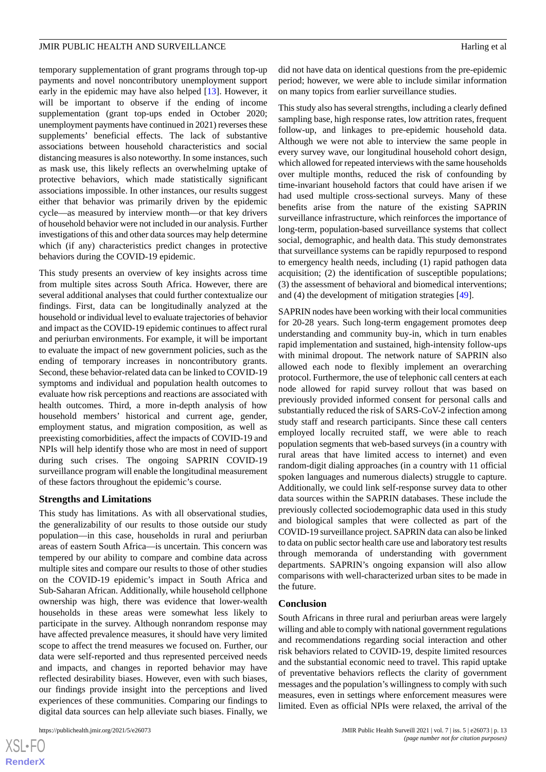temporary supplementation of grant programs through top-up payments and novel noncontributory unemployment support early in the epidemic may have also helped [[13\]](#page-14-3). However, it will be important to observe if the ending of income supplementation (grant top-ups ended in October 2020; unemployment payments have continued in 2021) reverses these supplements' beneficial effects. The lack of substantive associations between household characteristics and social distancing measures is also noteworthy. In some instances, such as mask use, this likely reflects an overwhelming uptake of protective behaviors, which made statistically significant associations impossible. In other instances, our results suggest either that behavior was primarily driven by the epidemic cycle—as measured by interview month—or that key drivers of household behavior were not included in our analysis. Further investigations of this and other data sources may help determine which (if any) characteristics predict changes in protective behaviors during the COVID-19 epidemic.

This study presents an overview of key insights across time from multiple sites across South Africa. However, there are several additional analyses that could further contextualize our findings. First, data can be longitudinally analyzed at the household or individual level to evaluate trajectories of behavior and impact as the COVID-19 epidemic continues to affect rural and periurban environments. For example, it will be important to evaluate the impact of new government policies, such as the ending of temporary increases in noncontributory grants. Second, these behavior-related data can be linked to COVID-19 symptoms and individual and population health outcomes to evaluate how risk perceptions and reactions are associated with health outcomes. Third, a more in-depth analysis of how household members' historical and current age, gender, employment status, and migration composition, as well as preexisting comorbidities, affect the impacts of COVID-19 and NPIs will help identify those who are most in need of support during such crises. The ongoing SAPRIN COVID-19 surveillance program will enable the longitudinal measurement of these factors throughout the epidemic's course.

#### **Strengths and Limitations**

This study has limitations. As with all observational studies, the generalizability of our results to those outside our study population—in this case, households in rural and periurban areas of eastern South Africa—is uncertain. This concern was tempered by our ability to compare and combine data across multiple sites and compare our results to those of other studies on the COVID-19 epidemic's impact in South Africa and Sub-Saharan African. Additionally, while household cellphone ownership was high, there was evidence that lower-wealth households in these areas were somewhat less likely to participate in the survey. Although nonrandom response may have affected prevalence measures, it should have very limited scope to affect the trend measures we focused on. Further, our data were self-reported and thus represented perceived needs and impacts, and changes in reported behavior may have reflected desirability biases. However, even with such biases, our findings provide insight into the perceptions and lived experiences of these communities. Comparing our findings to digital data sources can help alleviate such biases. Finally, we

[XSL](http://www.w3.org/Style/XSL)•FO **[RenderX](http://www.renderx.com/)** did not have data on identical questions from the pre-epidemic period; however, we were able to include similar information on many topics from earlier surveillance studies.

This study also has several strengths, including a clearly defined sampling base, high response rates, low attrition rates, frequent follow-up, and linkages to pre-epidemic household data. Although we were not able to interview the same people in every survey wave, our longitudinal household cohort design, which allowed for repeated interviews with the same households over multiple months, reduced the risk of confounding by time-invariant household factors that could have arisen if we had used multiple cross-sectional surveys. Many of these benefits arise from the nature of the existing SAPRIN surveillance infrastructure, which reinforces the importance of long-term, population-based surveillance systems that collect social, demographic, and health data. This study demonstrates that surveillance systems can be rapidly repurposed to respond to emergency health needs, including (1) rapid pathogen data acquisition; (2) the identification of susceptible populations; (3) the assessment of behavioral and biomedical interventions; and (4) the development of mitigation strategies [\[49](#page-15-17)].

SAPRIN nodes have been working with their local communities for 20-28 years. Such long-term engagement promotes deep understanding and community buy-in, which in turn enables rapid implementation and sustained, high-intensity follow-ups with minimal dropout. The network nature of SAPRIN also allowed each node to flexibly implement an overarching protocol. Furthermore, the use of telephonic call centers at each node allowed for rapid survey rollout that was based on previously provided informed consent for personal calls and substantially reduced the risk of SARS-CoV-2 infection among study staff and research participants. Since these call centers employed locally recruited staff, we were able to reach population segments that web-based surveys (in a country with rural areas that have limited access to internet) and even random-digit dialing approaches (in a country with 11 official spoken languages and numerous dialects) struggle to capture. Additionally, we could link self-response survey data to other data sources within the SAPRIN databases. These include the previously collected sociodemographic data used in this study and biological samples that were collected as part of the COVID-19 surveillance project. SAPRIN data can also be linked to data on public sector health care use and laboratory test results through memoranda of understanding with government departments. SAPRIN's ongoing expansion will also allow comparisons with well-characterized urban sites to be made in the future.

#### **Conclusion**

South Africans in three rural and periurban areas were largely willing and able to comply with national government regulations and recommendations regarding social interaction and other risk behaviors related to COVID-19, despite limited resources and the substantial economic need to travel. This rapid uptake of preventative behaviors reflects the clarity of government messages and the population's willingness to comply with such measures, even in settings where enforcement measures were limited. Even as official NPIs were relaxed, the arrival of the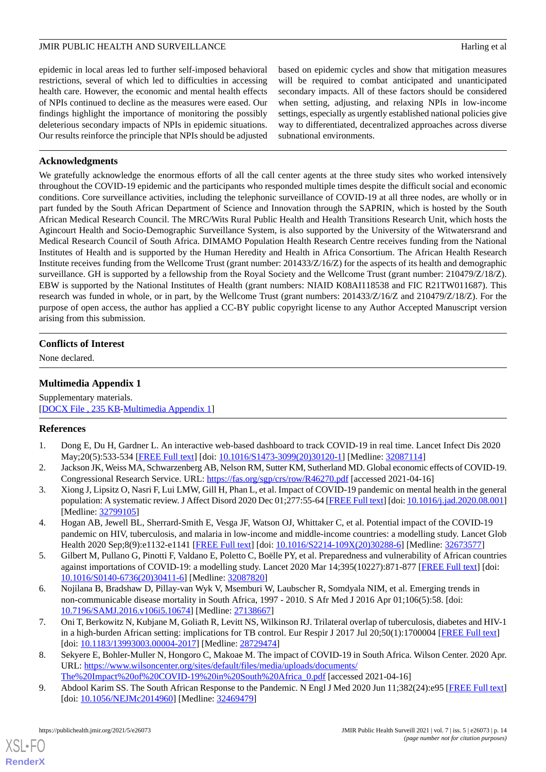epidemic in local areas led to further self-imposed behavioral restrictions, several of which led to difficulties in accessing health care. However, the economic and mental health effects of NPIs continued to decline as the measures were eased. Our findings highlight the importance of monitoring the possibly deleterious secondary impacts of NPIs in epidemic situations. Our results reinforce the principle that NPIs should be adjusted based on epidemic cycles and show that mitigation measures will be required to combat anticipated and unanticipated secondary impacts. All of these factors should be considered when setting, adjusting, and relaxing NPIs in low-income settings, especially as urgently established national policies give way to differentiated, decentralized approaches across diverse subnational environments.

# **Acknowledgments**

We gratefully acknowledge the enormous efforts of all the call center agents at the three study sites who worked intensively throughout the COVID-19 epidemic and the participants who responded multiple times despite the difficult social and economic conditions. Core surveillance activities, including the telephonic surveillance of COVID-19 at all three nodes, are wholly or in part funded by the South African Department of Science and Innovation through the SAPRIN, which is hosted by the South African Medical Research Council. The MRC/Wits Rural Public Health and Health Transitions Research Unit, which hosts the Agincourt Health and Socio-Demographic Surveillance System, is also supported by the University of the Witwatersrand and Medical Research Council of South Africa. DIMAMO Population Health Research Centre receives funding from the National Institutes of Health and is supported by the Human Heredity and Health in Africa Consortium. The African Health Research Institute receives funding from the Wellcome Trust (grant number: 201433/Z/16/Z) for the aspects of its health and demographic surveillance. GH is supported by a fellowship from the Royal Society and the Wellcome Trust (grant number: 210479/Z/18/Z). EBW is supported by the National Institutes of Health (grant numbers: NIAID K08AI118538 and FIC R21TW011687). This research was funded in whole, or in part, by the Wellcome Trust (grant numbers: 201433/Z/16/Z and 210479/Z/18/Z). For the purpose of open access, the author has applied a CC-BY public copyright license to any Author Accepted Manuscript version arising from this submission.

# <span id="page-13-8"></span>**Conflicts of Interest**

None declared.

# **Multimedia Appendix 1**

<span id="page-13-0"></span>Supplementary materials. [[DOCX File , 235 KB-Multimedia Appendix 1\]](https://jmir.org/api/download?alt_name=publichealth_v7i5e26073_app1.docx&filename=d1c528dcfa813347c5dcc2637da28458.docx)

# <span id="page-13-1"></span>**References**

- 1. Dong E, Du H, Gardner L. An interactive web-based dashboard to track COVID-19 in real time. Lancet Infect Dis 2020 May;20(5):533-534 [\[FREE Full text\]](http://europepmc.org/abstract/MED/32087114) [doi: [10.1016/S1473-3099\(20\)30120-1](http://dx.doi.org/10.1016/S1473-3099(20)30120-1)] [Medline: [32087114\]](http://www.ncbi.nlm.nih.gov/entrez/query.fcgi?cmd=Retrieve&db=PubMed&list_uids=32087114&dopt=Abstract)
- <span id="page-13-2"></span>2. Jackson JK, Weiss MA, Schwarzenberg AB, Nelson RM, Sutter KM, Sutherland MD. Global economic effects of COVID-19. Congressional Research Service. URL: <https://fas.org/sgp/crs/row/R46270.pdf> [accessed 2021-04-16]
- <span id="page-13-3"></span>3. Xiong J, Lipsitz O, Nasri F, Lui LMW, Gill H, Phan L, et al. Impact of COVID-19 pandemic on mental health in the general population: A systematic review. J Affect Disord 2020 Dec 01;277:55-64 [[FREE Full text](http://europepmc.org/abstract/MED/32799105)] [doi: [10.1016/j.jad.2020.08.001](http://dx.doi.org/10.1016/j.jad.2020.08.001)] [Medline: [32799105](http://www.ncbi.nlm.nih.gov/entrez/query.fcgi?cmd=Retrieve&db=PubMed&list_uids=32799105&dopt=Abstract)]
- <span id="page-13-4"></span>4. Hogan AB, Jewell BL, Sherrard-Smith E, Vesga JF, Watson OJ, Whittaker C, et al. Potential impact of the COVID-19 pandemic on HIV, tuberculosis, and malaria in low-income and middle-income countries: a modelling study. Lancet Glob Health 2020 Sep;8(9):e1132-e1141 [\[FREE Full text\]](https://linkinghub.elsevier.com/retrieve/pii/S2214-109X(20)30288-6) [doi: [10.1016/S2214-109X\(20\)30288-6\]](http://dx.doi.org/10.1016/S2214-109X(20)30288-6) [Medline: [32673577](http://www.ncbi.nlm.nih.gov/entrez/query.fcgi?cmd=Retrieve&db=PubMed&list_uids=32673577&dopt=Abstract)]
- <span id="page-13-5"></span>5. Gilbert M, Pullano G, Pinotti F, Valdano E, Poletto C, Boëlle PY, et al. Preparedness and vulnerability of African countries against importations of COVID-19: a modelling study. Lancet 2020 Mar 14;395(10227):871-877 [[FREE Full text](http://europepmc.org/abstract/MED/32087820)] [doi: [10.1016/S0140-6736\(20\)30411-6\]](http://dx.doi.org/10.1016/S0140-6736(20)30411-6) [Medline: [32087820](http://www.ncbi.nlm.nih.gov/entrez/query.fcgi?cmd=Retrieve&db=PubMed&list_uids=32087820&dopt=Abstract)]
- <span id="page-13-6"></span>6. Nojilana B, Bradshaw D, Pillay-van Wyk V, Msemburi W, Laubscher R, Somdyala NIM, et al. Emerging trends in non-communicable disease mortality in South Africa, 1997 - 2010. S Afr Med J 2016 Apr 01;106(5):58. [doi: [10.7196/SAMJ.2016.v106i5.10674\]](http://dx.doi.org/10.7196/SAMJ.2016.v106i5.10674) [Medline: [27138667](http://www.ncbi.nlm.nih.gov/entrez/query.fcgi?cmd=Retrieve&db=PubMed&list_uids=27138667&dopt=Abstract)]
- <span id="page-13-7"></span>7. Oni T, Berkowitz N, Kubjane M, Goliath R, Levitt NS, Wilkinson RJ. Trilateral overlap of tuberculosis, diabetes and HIV-1 in a high-burden African setting: implications for TB control. Eur Respir J 2017 Jul 20;50(1):1700004 [\[FREE Full text\]](http://erj.ersjournals.com/cgi/pmidlookup?view=long&pmid=28729474) [doi: [10.1183/13993003.00004-2017](http://dx.doi.org/10.1183/13993003.00004-2017)] [Medline: [28729474\]](http://www.ncbi.nlm.nih.gov/entrez/query.fcgi?cmd=Retrieve&db=PubMed&list_uids=28729474&dopt=Abstract)
- 8. Sekyere E, Bohler-Muller N, Hongoro C, Makoae M. The impact of COVID-19 in South Africa. Wilson Center. 2020 Apr. URL: [https://www.wilsoncenter.org/sites/default/files/media/uploads/documents/](https://www.wilsoncenter.org/sites/default/files/media/uploads/documents/The%20Impact%20of%20COVID-19%20in%20South%20Africa_0.pdf) [The%20Impact%20of%20COVID-19%20in%20South%20Africa\\_0.pdf](https://www.wilsoncenter.org/sites/default/files/media/uploads/documents/The%20Impact%20of%20COVID-19%20in%20South%20Africa_0.pdf) [accessed 2021-04-16]
- 9. Abdool Karim SS. The South African Response to the Pandemic. N Engl J Med 2020 Jun 11;382(24):e95 [[FREE Full text](http://europepmc.org/abstract/MED/32469479)] [doi: [10.1056/NEJMc2014960\]](http://dx.doi.org/10.1056/NEJMc2014960) [Medline: [32469479](http://www.ncbi.nlm.nih.gov/entrez/query.fcgi?cmd=Retrieve&db=PubMed&list_uids=32469479&dopt=Abstract)]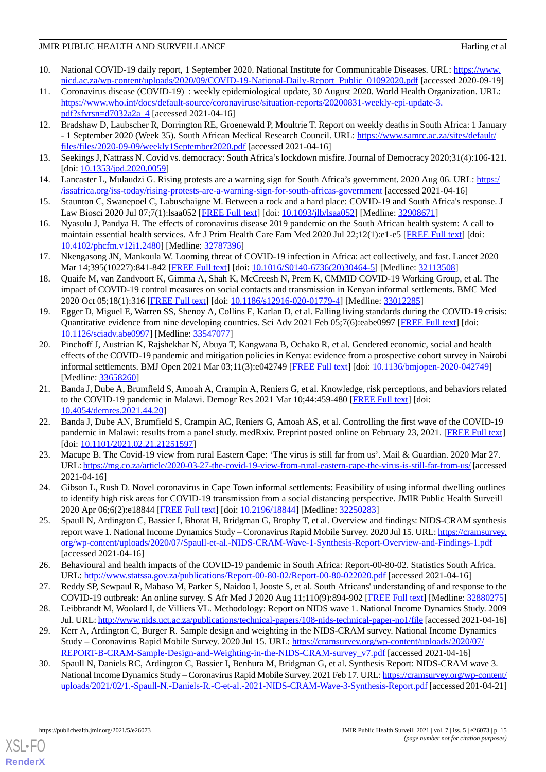- <span id="page-14-0"></span>10. National COVID-19 daily report, 1 September 2020. National Institute for Communicable Diseases. URL: [https://www.](https://www.nicd.ac.za/wp-content/uploads/2020/09/COVID-19-National-Daily-Report_Public_01092020.pdf) [nicd.ac.za/wp-content/uploads/2020/09/COVID-19-National-Daily-Report\\_Public\\_01092020.pdf](https://www.nicd.ac.za/wp-content/uploads/2020/09/COVID-19-National-Daily-Report_Public_01092020.pdf) [accessed 2020-09-19]
- <span id="page-14-1"></span>11. Coronavirus disease (COVID-19) : weekly epidemiological update, 30 August 2020. World Health Organization. URL: [https://www.who.int/docs/default-source/coronaviruse/situation-reports/20200831-weekly-epi-update-3.](https://www.who.int/docs/default-source/coronaviruse/situation-reports/20200831-weekly-epi-update-3.pdf?sfvrsn=d7032a2a_4) [pdf?sfvrsn=d7032a2a\\_4](https://www.who.int/docs/default-source/coronaviruse/situation-reports/20200831-weekly-epi-update-3.pdf?sfvrsn=d7032a2a_4) [accessed 2021-04-16]
- <span id="page-14-2"></span>12. Bradshaw D, Laubscher R, Dorrington RE, Groenewald P, Moultrie T. Report on weekly deaths in South Africa: 1 January - 1 September 2020 (Week 35). South African Medical Research Council. URL: [https://www.samrc.ac.za/sites/default/](https://www.samrc.ac.za/sites/default/files/files/2020-09-09/weekly1September2020.pdf) [files/files/2020-09-09/weekly1September2020.pdf](https://www.samrc.ac.za/sites/default/files/files/2020-09-09/weekly1September2020.pdf) [accessed 2021-04-16]
- <span id="page-14-3"></span>13. Seekings J, Nattrass N. Covid vs. democracy: South Africa's lockdown misfire. Journal of Democracy 2020;31(4):106-121. [doi: [10.1353/jod.2020.0059\]](http://dx.doi.org/10.1353/jod.2020.0059)
- <span id="page-14-4"></span>14. Lancaster L, Mulaudzi G. Rising protests are a warning sign for South Africa's government. 2020 Aug 06. URL: [https:/](https://issafrica.org/iss-today/rising-protests-are-a-warning-sign-for-south-africas-government) [/issafrica.org/iss-today/rising-protests-are-a-warning-sign-for-south-africas-government](https://issafrica.org/iss-today/rising-protests-are-a-warning-sign-for-south-africas-government) [accessed 2021-04-16]
- <span id="page-14-5"></span>15. Staunton C, Swanepoel C, Labuschaigne M. Between a rock and a hard place: COVID-19 and South Africa's response. J Law Biosci 2020 Jul 07;7(1):lsaa052 [[FREE Full text](http://europepmc.org/article/MED/32908671)] [doi: [10.1093/jlb/lsaa052\]](http://dx.doi.org/10.1093/jlb/lsaa052) [Medline: [32908671](http://www.ncbi.nlm.nih.gov/entrez/query.fcgi?cmd=Retrieve&db=PubMed&list_uids=32908671&dopt=Abstract)]
- <span id="page-14-6"></span>16. Nyasulu J, Pandya H. The effects of coronavirus disease 2019 pandemic on the South African health system: A call to maintain essential health services. Afr J Prim Health Care Fam Med 2020 Jul 22;12(1):e1-e5 [\[FREE Full text\]](http://europepmc.org/abstract/MED/32787396) [doi: [10.4102/phcfm.v12i1.2480](http://dx.doi.org/10.4102/phcfm.v12i1.2480)] [Medline: [32787396\]](http://www.ncbi.nlm.nih.gov/entrez/query.fcgi?cmd=Retrieve&db=PubMed&list_uids=32787396&dopt=Abstract)
- <span id="page-14-7"></span>17. Nkengasong JN, Mankoula W. Looming threat of COVID-19 infection in Africa: act collectively, and fast. Lancet 2020 Mar 14;395(10227):841-842 [\[FREE Full text\]](http://europepmc.org/abstract/MED/32113508) [doi: [10.1016/S0140-6736\(20\)30464-5\]](http://dx.doi.org/10.1016/S0140-6736(20)30464-5) [Medline: [32113508\]](http://www.ncbi.nlm.nih.gov/entrez/query.fcgi?cmd=Retrieve&db=PubMed&list_uids=32113508&dopt=Abstract)
- 18. Quaife M, van Zandvoort K, Gimma A, Shah K, McCreesh N, Prem K, CMMID COVID-19 Working Group, et al. The impact of COVID-19 control measures on social contacts and transmission in Kenyan informal settlements. BMC Med 2020 Oct 05;18(1):316 [\[FREE Full text](https://bmcmedicine.biomedcentral.com/articles/10.1186/s12916-020-01779-4)] [doi: [10.1186/s12916-020-01779-4\]](http://dx.doi.org/10.1186/s12916-020-01779-4) [Medline: [33012285\]](http://www.ncbi.nlm.nih.gov/entrez/query.fcgi?cmd=Retrieve&db=PubMed&list_uids=33012285&dopt=Abstract)
- 19. Egger D, Miguel E, Warren SS, Shenoy A, Collins E, Karlan D, et al. Falling living standards during the COVID-19 crisis: Quantitative evidence from nine developing countries. Sci Adv 2021 Feb 05;7(6):eabe0997 [\[FREE Full text\]](https://doi.org/10.1126/sciadv.abe0997) [doi: [10.1126/sciadv.abe0997](http://dx.doi.org/10.1126/sciadv.abe0997)] [Medline: [33547077\]](http://www.ncbi.nlm.nih.gov/entrez/query.fcgi?cmd=Retrieve&db=PubMed&list_uids=33547077&dopt=Abstract)
- <span id="page-14-17"></span>20. Pinchoff J, Austrian K, Rajshekhar N, Abuya T, Kangwana B, Ochako R, et al. Gendered economic, social and health effects of the COVID-19 pandemic and mitigation policies in Kenya: evidence from a prospective cohort survey in Nairobi informal settlements. BMJ Open 2021 Mar 03;11(3):e042749 [[FREE Full text](https://bmjopen.bmj.com/lookup/pmidlookup?view=long&pmid=33658260)] [doi: [10.1136/bmjopen-2020-042749](http://dx.doi.org/10.1136/bmjopen-2020-042749)] [Medline: [33658260](http://www.ncbi.nlm.nih.gov/entrez/query.fcgi?cmd=Retrieve&db=PubMed&list_uids=33658260&dopt=Abstract)]
- <span id="page-14-8"></span>21. Banda J, Dube A, Brumfield S, Amoah A, Crampin A, Reniers G, et al. Knowledge, risk perceptions, and behaviors related to the COVID-19 pandemic in Malawi. Demogr Res 2021 Mar 10;44:459-480 [[FREE Full text](https://www.demographic-research.org/volumes/vol44/20/44-20.pdf)] [doi: [10.4054/demres.2021.44.20](http://dx.doi.org/10.4054/demres.2021.44.20)]
- <span id="page-14-9"></span>22. Banda J, Dube AN, Brumfield S, Crampin AC, Reniers G, Amoah AS, et al. Controlling the first wave of the COVID-19 pandemic in Malawi: results from a panel study. medRxiv. Preprint posted online on February 23, 2021. [[FREE Full text\]](https://www.medrxiv.org/content/10.1101/2021.02.21.21251597v1.full-text) [doi: [10.1101/2021.02.21.21251597\]](http://dx.doi.org/10.1101/2021.02.21.21251597)
- <span id="page-14-11"></span><span id="page-14-10"></span>23. Macupe B. The Covid-19 view from rural Eastern Cape: 'The virus is still far from us'. Mail & Guardian. 2020 Mar 27. URL:<https://mg.co.za/article/2020-03-27-the-covid-19-view-from-rural-eastern-cape-the-virus-is-still-far-from-us/> [accessed 2021-04-16]
- 24. Gibson L, Rush D. Novel coronavirus in Cape Town informal settlements: Feasibility of using informal dwelling outlines to identify high risk areas for COVID-19 transmission from a social distancing perspective. JMIR Public Health Surveill 2020 Apr 06;6(2):e18844 [[FREE Full text\]](https://publichealth.jmir.org/2020/2/e18844/) [doi: [10.2196/18844](http://dx.doi.org/10.2196/18844)] [Medline: [32250283](http://www.ncbi.nlm.nih.gov/entrez/query.fcgi?cmd=Retrieve&db=PubMed&list_uids=32250283&dopt=Abstract)]
- <span id="page-14-13"></span><span id="page-14-12"></span>25. Spaull N, Ardington C, Bassier I, Bhorat H, Bridgman G, Brophy T, et al. Overview and findings: NIDS-CRAM synthesis report wave 1. National Income Dynamics Study – Coronavirus Rapid Mobile Survey. 2020 Jul 15. URL: [https://cramsurvey.](https://cramsurvey.org/wp-content/uploads/2020/07/Spaull-et-al.-NIDS-CRAM-Wave-1-Synthesis-Report-Overview-and-Findings-1.pdf) [org/wp-content/uploads/2020/07/Spaull-et-al.-NIDS-CRAM-Wave-1-Synthesis-Report-Overview-and-Findings-1.pdf](https://cramsurvey.org/wp-content/uploads/2020/07/Spaull-et-al.-NIDS-CRAM-Wave-1-Synthesis-Report-Overview-and-Findings-1.pdf) [accessed 2021-04-16]
- <span id="page-14-15"></span><span id="page-14-14"></span>26. Behavioural and health impacts of the COVID-19 pandemic in South Africa: Report-00-80-02. Statistics South Africa. URL: <http://www.statssa.gov.za/publications/Report-00-80-02/Report-00-80-022020.pdf> [accessed 2021-04-16]
- 27. Reddy SP, Sewpaul R, Mabaso M, Parker S, Naidoo I, Jooste S, et al. South Africans' understanding of and response to the COVID-19 outbreak: An online survey. S Afr Med J 2020 Aug 11;110(9):894-902 [\[FREE Full text\]](http://www.samj.org.za/index.php/samj/article/view/13049) [Medline: [32880275](http://www.ncbi.nlm.nih.gov/entrez/query.fcgi?cmd=Retrieve&db=PubMed&list_uids=32880275&dopt=Abstract)]
- <span id="page-14-16"></span>28. Leibbrandt M, Woolard I, de Villiers VL. Methodology: Report on NIDS wave 1. National Income Dynamics Study. 2009 Jul. URL:<http://www.nids.uct.ac.za/publications/technical-papers/108-nids-technical-paper-no1/file> [accessed 2021-04-16]
- 29. Kerr A, Ardington C, Burger R. Sample design and weighting in the NIDS-CRAM survey. National Income Dynamics Study – Coronavirus Rapid Mobile Survey. 2020 Jul 15. URL: [https://cramsurvey.org/wp-content/uploads/2020/07/](https://cramsurvey.org/wp-content/uploads/2020/07/REPORT-B-CRAM-Sample-Design-and-Weighting-in-the-NIDS-CRAM-survey_v7.pdf) [REPORT-B-CRAM-Sample-Design-and-Weighting-in-the-NIDS-CRAM-survey\\_v7.pdf](https://cramsurvey.org/wp-content/uploads/2020/07/REPORT-B-CRAM-Sample-Design-and-Weighting-in-the-NIDS-CRAM-survey_v7.pdf) [accessed 2021-04-16]
- 30. Spaull N, Daniels RC, Ardington C, Bassier I, Benhura M, Bridgman G, et al. Synthesis Report: NIDS-CRAM wave 3. National Income Dynamics Study – Coronavirus Rapid Mobile Survey. 2021 Feb 17. URL: [https://cramsurvey.org/wp-content/](https://cramsurvey.org/wp-content/uploads/2021/02/1.-Spaull-N.-Daniels-R.-C-et-al.-2021-NIDS-CRAM-Wave-3-Synthesis-Report.pdf) [uploads/2021/02/1.-Spaull-N.-Daniels-R.-C-et-al.-2021-NIDS-CRAM-Wave-3-Synthesis-Report.pdf](https://cramsurvey.org/wp-content/uploads/2021/02/1.-Spaull-N.-Daniels-R.-C-et-al.-2021-NIDS-CRAM-Wave-3-Synthesis-Report.pdf) [accessed 201-04-21]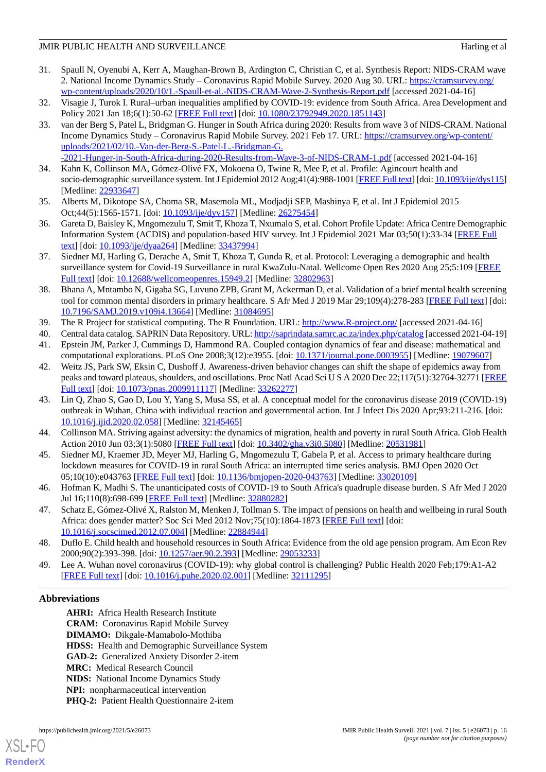- <span id="page-15-0"></span>31. Spaull N, Oyenubi A, Kerr A, Maughan-Brown B, Ardington C, Christian C, et al. Synthesis Report: NIDS-CRAM wave 2. National Income Dynamics Study – Coronavirus Rapid Mobile Survey. 2020 Aug 30. URL: [https://cramsurvey.org/](https://cramsurvey.org/wp-content/uploads/2020/10/1.-Spaull-et-al.-NIDS-CRAM-Wave-2-Synthesis-Report.pdf) [wp-content/uploads/2020/10/1.-Spaull-et-al.-NIDS-CRAM-Wave-2-Synthesis-Report.pdf](https://cramsurvey.org/wp-content/uploads/2020/10/1.-Spaull-et-al.-NIDS-CRAM-Wave-2-Synthesis-Report.pdf) [accessed 2021-04-16]
- <span id="page-15-2"></span><span id="page-15-1"></span>32. Visagie J, Turok I. Rural–urban inequalities amplified by COVID-19: evidence from South Africa. Area Development and Policy 2021 Jan 18;6(1):50-62 [\[FREE Full text\]](https://www.tandfonline.com/doi/full/10.1080/23792949.2020.1851143) [doi: [10.1080/23792949.2020.1851143](http://dx.doi.org/10.1080/23792949.2020.1851143)]
- 33. van der Berg S, Patel L, Bridgman G. Hunger in South Africa during 2020: Results from wave 3 of NIDS-CRAM. National Income Dynamics Study – Coronavirus Rapid Mobile Survey. 2021 Feb 17. URL: [https://cramsurvey.org/wp-content/](https://cramsurvey.org/wp-content/uploads/2021/02/10.-Van-der-Berg-S.-Patel-L.-Bridgman-G.-2021-Hunger-in-South-Africa-during-2020-Results-from-Wave-3-of-NIDS-CRAM-1.pdf) [uploads/2021/02/10.-Van-der-Berg-S.-Patel-L.-Bridgman-G.](https://cramsurvey.org/wp-content/uploads/2021/02/10.-Van-der-Berg-S.-Patel-L.-Bridgman-G.-2021-Hunger-in-South-Africa-during-2020-Results-from-Wave-3-of-NIDS-CRAM-1.pdf) [-2021-Hunger-in-South-Africa-during-2020-Results-from-Wave-3-of-NIDS-CRAM-1.pdf](https://cramsurvey.org/wp-content/uploads/2021/02/10.-Van-der-Berg-S.-Patel-L.-Bridgman-G.-2021-Hunger-in-South-Africa-during-2020-Results-from-Wave-3-of-NIDS-CRAM-1.pdf) [accessed 2021-04-16]
- <span id="page-15-4"></span><span id="page-15-3"></span>34. Kahn K, Collinson MA, Gómez-Olivé FX, Mokoena O, Twine R, Mee P, et al. Profile: Agincourt health and socio-demographic surveillance system. Int J Epidemiol 2012 Aug;41(4):988-1001 [\[FREE Full text](http://europepmc.org/abstract/MED/22933647)] [doi: [10.1093/ije/dys115\]](http://dx.doi.org/10.1093/ije/dys115) [Medline: [22933647](http://www.ncbi.nlm.nih.gov/entrez/query.fcgi?cmd=Retrieve&db=PubMed&list_uids=22933647&dopt=Abstract)]
- <span id="page-15-5"></span>35. Alberts M, Dikotope SA, Choma SR, Masemola ML, Modjadji SEP, Mashinya F, et al. Int J Epidemiol 2015 Oct;44(5):1565-1571. [doi: [10.1093/ije/dyv157\]](http://dx.doi.org/10.1093/ije/dyv157) [Medline: [26275454\]](http://www.ncbi.nlm.nih.gov/entrez/query.fcgi?cmd=Retrieve&db=PubMed&list_uids=26275454&dopt=Abstract)
- <span id="page-15-6"></span>36. Gareta D, Baisley K, Mngomezulu T, Smit T, Khoza T, Nxumalo S, et al. Cohort Profile Update: Africa Centre Demographic Information System (ACDIS) and population-based HIV survey. Int J Epidemiol 2021 Mar 03;50(1):33-34 [\[FREE Full](http://europepmc.org/abstract/MED/33437994) [text](http://europepmc.org/abstract/MED/33437994)] [doi: [10.1093/ije/dyaa264](http://dx.doi.org/10.1093/ije/dyaa264)] [Medline: [33437994](http://www.ncbi.nlm.nih.gov/entrez/query.fcgi?cmd=Retrieve&db=PubMed&list_uids=33437994&dopt=Abstract)]
- <span id="page-15-7"></span>37. Siedner MJ, Harling G, Derache A, Smit T, Khoza T, Gunda R, et al. Protocol: Leveraging a demographic and health surveillance system for Covid-19 Surveillance in rural KwaZulu-Natal. Wellcome Open Res 2020 Aug 25;5:109 [[FREE](http://europepmc.org/abstract/MED/32802963) [Full text\]](http://europepmc.org/abstract/MED/32802963) [doi: [10.12688/wellcomeopenres.15949.2](http://dx.doi.org/10.12688/wellcomeopenres.15949.2)] [Medline: [32802963](http://www.ncbi.nlm.nih.gov/entrez/query.fcgi?cmd=Retrieve&db=PubMed&list_uids=32802963&dopt=Abstract)]
- <span id="page-15-9"></span><span id="page-15-8"></span>38. Bhana A, Mntambo N, Gigaba SG, Luvuno ZPB, Grant M, Ackerman D, et al. Validation of a brief mental health screening tool for common mental disorders in primary healthcare. S Afr Med J 2019 Mar 29;109(4):278-283 [\[FREE Full text](http://www.samj.org.za/index.php/samj/article/view/13664)] [doi: [10.7196/SAMJ.2019.v109i4.13664\]](http://dx.doi.org/10.7196/SAMJ.2019.v109i4.13664) [Medline: [31084695](http://www.ncbi.nlm.nih.gov/entrez/query.fcgi?cmd=Retrieve&db=PubMed&list_uids=31084695&dopt=Abstract)]
- <span id="page-15-10"></span>39. The R Project for statistical computing. The R Foundation. URL: <http://www.R-project.org/> [accessed 2021-04-16]
- 40. Central data catalog. SAPRIN Data Repository. URL:<http://saprindata.samrc.ac.za/index.php/catalog> [accessed 2021-04-19]
- 41. Epstein JM, Parker J, Cummings D, Hammond RA. Coupled contagion dynamics of fear and disease: mathematical and computational explorations. PLoS One 2008;3(12):e3955. [doi: [10.1371/journal.pone.0003955\]](http://dx.doi.org/10.1371/journal.pone.0003955) [Medline: [19079607](http://www.ncbi.nlm.nih.gov/entrez/query.fcgi?cmd=Retrieve&db=PubMed&list_uids=19079607&dopt=Abstract)]
- <span id="page-15-11"></span>42. Weitz JS, Park SW, Eksin C, Dushoff J. Awareness-driven behavior changes can shift the shape of epidemics away from peaks and toward plateaus, shoulders, and oscillations. Proc Natl Acad Sci U S A 2020 Dec 22;117(51):32764-32771 [[FREE](http://europepmc.org/abstract/MED/33262277) [Full text\]](http://europepmc.org/abstract/MED/33262277) [doi: [10.1073/pnas.2009911117](http://dx.doi.org/10.1073/pnas.2009911117)] [Medline: [33262277](http://www.ncbi.nlm.nih.gov/entrez/query.fcgi?cmd=Retrieve&db=PubMed&list_uids=33262277&dopt=Abstract)]
- <span id="page-15-13"></span><span id="page-15-12"></span>43. Lin Q, Zhao S, Gao D, Lou Y, Yang S, Musa SS, et al. A conceptual model for the coronavirus disease 2019 (COVID-19) outbreak in Wuhan, China with individual reaction and governmental action. Int J Infect Dis 2020 Apr;93:211-216. [doi: [10.1016/j.ijid.2020.02.058\]](http://dx.doi.org/10.1016/j.ijid.2020.02.058) [Medline: [32145465\]](http://www.ncbi.nlm.nih.gov/entrez/query.fcgi?cmd=Retrieve&db=PubMed&list_uids=32145465&dopt=Abstract)
- <span id="page-15-14"></span>44. Collinson MA. Striving against adversity: the dynamics of migration, health and poverty in rural South Africa. Glob Health Action 2010 Jun 03;3(1):5080 [\[FREE Full text\]](http://europepmc.org/abstract/MED/20531981) [doi: [10.3402/gha.v3i0.5080](http://dx.doi.org/10.3402/gha.v3i0.5080)] [Medline: [20531981](http://www.ncbi.nlm.nih.gov/entrez/query.fcgi?cmd=Retrieve&db=PubMed&list_uids=20531981&dopt=Abstract)]
- <span id="page-15-15"></span>45. Siedner MJ, Kraemer JD, Meyer MJ, Harling G, Mngomezulu T, Gabela P, et al. Access to primary healthcare during lockdown measures for COVID-19 in rural South Africa: an interrupted time series analysis. BMJ Open 2020 Oct 05;10(10):e043763 [\[FREE Full text](https://bmjopen.bmj.com/lookup/pmidlookup?view=long&pmid=33020109)] [doi: [10.1136/bmjopen-2020-043763\]](http://dx.doi.org/10.1136/bmjopen-2020-043763) [Medline: [33020109](http://www.ncbi.nlm.nih.gov/entrez/query.fcgi?cmd=Retrieve&db=PubMed&list_uids=33020109&dopt=Abstract)]
- <span id="page-15-16"></span>46. Hofman K, Madhi S. The unanticipated costs of COVID-19 to South Africa's quadruple disease burden. S Afr Med J 2020 Jul 16;110(8):698-699 [\[FREE Full text](http://www.samj.org.za/index.php/samj/article/view/12719/13018)] [Medline: [32880282](http://www.ncbi.nlm.nih.gov/entrez/query.fcgi?cmd=Retrieve&db=PubMed&list_uids=32880282&dopt=Abstract)]
- <span id="page-15-17"></span>47. Schatz E, Gómez-Olivé X, Ralston M, Menken J, Tollman S. The impact of pensions on health and wellbeing in rural South Africa: does gender matter? Soc Sci Med 2012 Nov;75(10):1864-1873 [[FREE Full text](http://europepmc.org/abstract/MED/22884944)] [doi: [10.1016/j.socscimed.2012.07.004](http://dx.doi.org/10.1016/j.socscimed.2012.07.004)] [Medline: [22884944](http://www.ncbi.nlm.nih.gov/entrez/query.fcgi?cmd=Retrieve&db=PubMed&list_uids=22884944&dopt=Abstract)]
- 48. Duflo E. Child health and household resources in South Africa: Evidence from the old age pension program. Am Econ Rev 2000;90(2):393-398. [doi: [10.1257/aer.90.2.393\]](http://dx.doi.org/10.1257/aer.90.2.393) [Medline: [29053233\]](http://www.ncbi.nlm.nih.gov/entrez/query.fcgi?cmd=Retrieve&db=PubMed&list_uids=29053233&dopt=Abstract)
- 49. Lee A. Wuhan novel coronavirus (COVID-19): why global control is challenging? Public Health 2020 Feb;179:A1-A2 [[FREE Full text](http://europepmc.org/abstract/MED/32111295)] [doi: [10.1016/j.puhe.2020.02.001\]](http://dx.doi.org/10.1016/j.puhe.2020.02.001) [Medline: [32111295\]](http://www.ncbi.nlm.nih.gov/entrez/query.fcgi?cmd=Retrieve&db=PubMed&list_uids=32111295&dopt=Abstract)

# **Abbreviations**

**AHRI:** Africa Health Research Institute **CRAM:** Coronavirus Rapid Mobile Survey **DIMAMO:** Dikgale-Mamabolo-Mothiba **HDSS:** Health and Demographic Surveillance System **GAD-2:** Generalized Anxiety Disorder 2-item **MRC:** Medical Research Council **NIDS:** National Income Dynamics Study **NPI:** nonpharmaceutical intervention **PHQ-2:** Patient Health Questionnaire 2-item